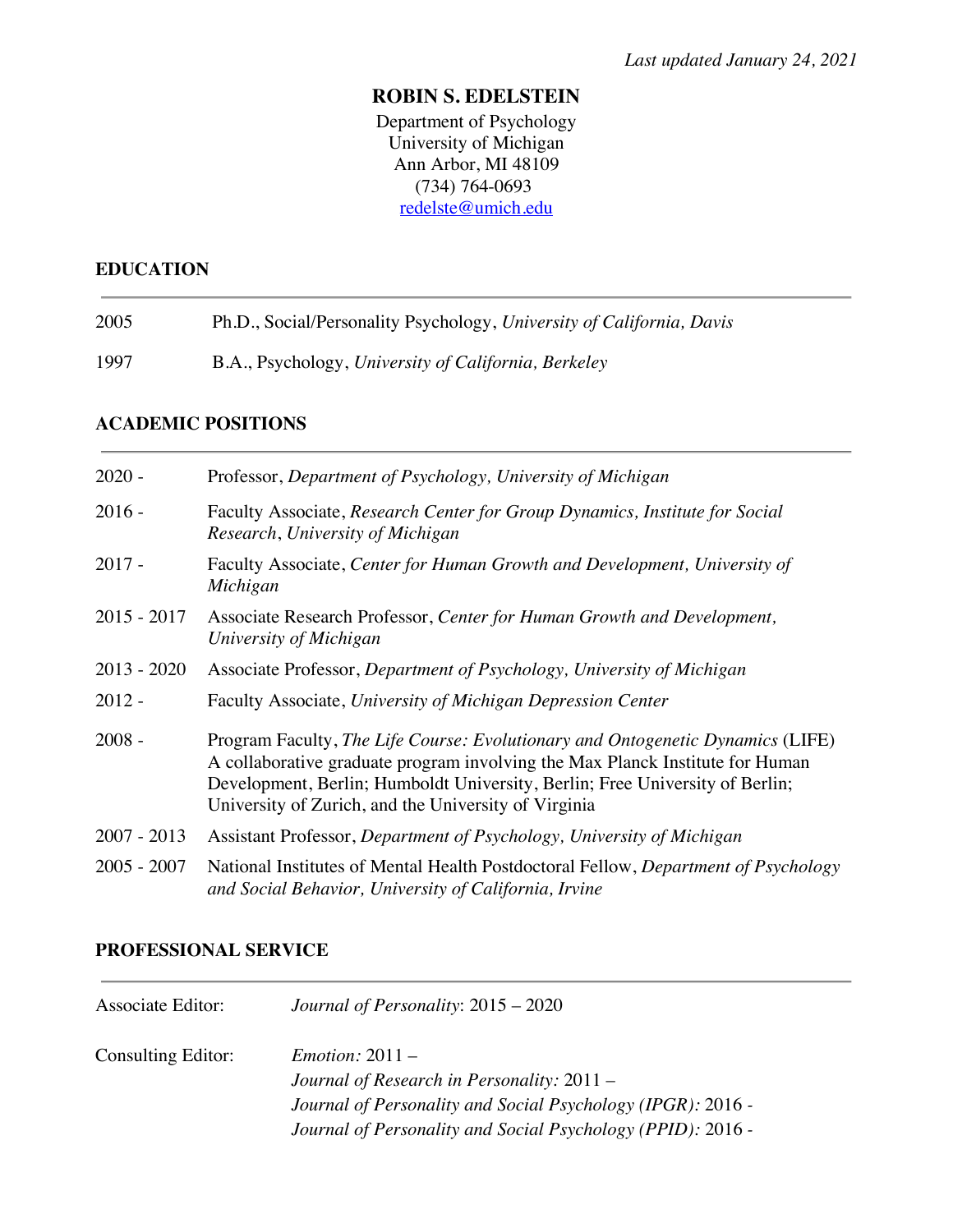### **ROBIN S. EDELSTEIN**

Department of Psychology University of Michigan Ann Arbor, MI 48109 (734) 764-0693 redelste@umich.edu

#### **EDUCATION**

| 2005 | Ph.D., Social/Personality Psychology, University of California, Davis |  |
|------|-----------------------------------------------------------------------|--|
|------|-----------------------------------------------------------------------|--|

1997 B.A., Psychology, *University of California, Berkeley*

### **ACADEMIC POSITIONS**

| $2020 -$      | Professor, Department of Psychology, University of Michigan                                                                                                                                                                                                                                             |  |
|---------------|---------------------------------------------------------------------------------------------------------------------------------------------------------------------------------------------------------------------------------------------------------------------------------------------------------|--|
| $2016 -$      | Faculty Associate, Research Center for Group Dynamics, Institute for Social<br>Research, University of Michigan                                                                                                                                                                                         |  |
| $2017 -$      | Faculty Associate, Center for Human Growth and Development, University of<br>Michigan                                                                                                                                                                                                                   |  |
| $2015 - 2017$ | Associate Research Professor, Center for Human Growth and Development,<br>University of Michigan                                                                                                                                                                                                        |  |
| $2013 - 2020$ | Associate Professor, Department of Psychology, University of Michigan                                                                                                                                                                                                                                   |  |
| $2012 -$      | Faculty Associate, University of Michigan Depression Center                                                                                                                                                                                                                                             |  |
| $2008 -$      | Program Faculty, The Life Course: Evolutionary and Ontogenetic Dynamics (LIFE)<br>A collaborative graduate program involving the Max Planck Institute for Human<br>Development, Berlin; Humboldt University, Berlin; Free University of Berlin;<br>University of Zurich, and the University of Virginia |  |
| $2007 - 2013$ | Assistant Professor, Department of Psychology, University of Michigan                                                                                                                                                                                                                                   |  |
| $2005 - 2007$ | National Institutes of Mental Health Postdoctoral Fellow, Department of Psychology<br>and Social Behavior, University of California, Irvine                                                                                                                                                             |  |

### **PROFESSIONAL SERVICE**

| Journal of Personality and Social Psychology (IPGR): 2016 -<br>Journal of Personality and Social Psychology (PPID): 2016 - |
|----------------------------------------------------------------------------------------------------------------------------|
|                                                                                                                            |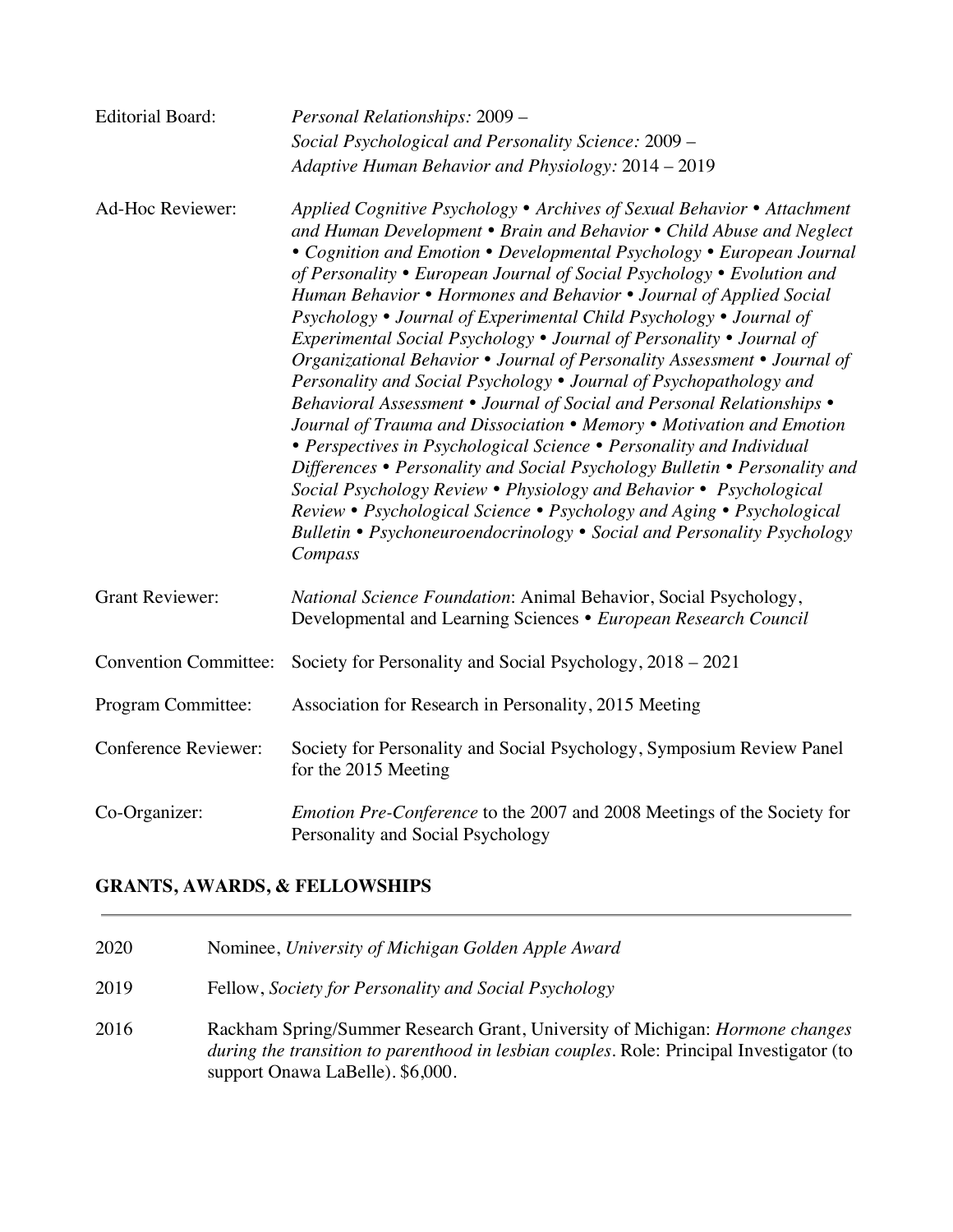| <b>Editorial Board:</b>                                                                                                              | Personal Relationships: 2009 -                                                                                                                                                                                                                                                                                                                                                                                                                                                                                                                                                                                                                                                                                                                                                                                                                                                                                                                                                                                                                                                                                                                                                                                        |  |  |
|--------------------------------------------------------------------------------------------------------------------------------------|-----------------------------------------------------------------------------------------------------------------------------------------------------------------------------------------------------------------------------------------------------------------------------------------------------------------------------------------------------------------------------------------------------------------------------------------------------------------------------------------------------------------------------------------------------------------------------------------------------------------------------------------------------------------------------------------------------------------------------------------------------------------------------------------------------------------------------------------------------------------------------------------------------------------------------------------------------------------------------------------------------------------------------------------------------------------------------------------------------------------------------------------------------------------------------------------------------------------------|--|--|
|                                                                                                                                      | Social Psychological and Personality Science: 2009 -                                                                                                                                                                                                                                                                                                                                                                                                                                                                                                                                                                                                                                                                                                                                                                                                                                                                                                                                                                                                                                                                                                                                                                  |  |  |
|                                                                                                                                      | Adaptive Human Behavior and Physiology: 2014 - 2019                                                                                                                                                                                                                                                                                                                                                                                                                                                                                                                                                                                                                                                                                                                                                                                                                                                                                                                                                                                                                                                                                                                                                                   |  |  |
| Ad-Hoc Reviewer:                                                                                                                     | Applied Cognitive Psychology • Archives of Sexual Behavior • Attachment<br>and Human Development • Brain and Behavior • Child Abuse and Neglect<br>• Cognition and Emotion • Developmental Psychology • European Journal<br>of Personality • European Journal of Social Psychology • Evolution and<br>Human Behavior • Hormones and Behavior • Journal of Applied Social<br>Psychology • Journal of Experimental Child Psychology • Journal of<br>Experimental Social Psychology • Journal of Personality • Journal of<br>Organizational Behavior • Journal of Personality Assessment • Journal of<br>Personality and Social Psychology • Journal of Psychopathology and<br>Behavioral Assessment • Journal of Social and Personal Relationships •<br>Journal of Trauma and Dissociation • Memory • Motivation and Emotion<br>• Perspectives in Psychological Science • Personality and Individual<br>Differences . Personality and Social Psychology Bulletin . Personality and<br>Social Psychology Review • Physiology and Behavior • Psychological<br>Review • Psychological Science • Psychology and Aging • Psychological<br>Bulletin • Psychoneuroendocrinology • Social and Personality Psychology<br>Compass |  |  |
| <b>Grant Reviewer:</b>                                                                                                               | National Science Foundation: Animal Behavior, Social Psychology,<br>Developmental and Learning Sciences • European Research Council                                                                                                                                                                                                                                                                                                                                                                                                                                                                                                                                                                                                                                                                                                                                                                                                                                                                                                                                                                                                                                                                                   |  |  |
| <b>Convention Committee:</b><br>Society for Personality and Social Psychology, 2018 – 2021                                           |                                                                                                                                                                                                                                                                                                                                                                                                                                                                                                                                                                                                                                                                                                                                                                                                                                                                                                                                                                                                                                                                                                                                                                                                                       |  |  |
| Program Committee:                                                                                                                   | Association for Research in Personality, 2015 Meeting                                                                                                                                                                                                                                                                                                                                                                                                                                                                                                                                                                                                                                                                                                                                                                                                                                                                                                                                                                                                                                                                                                                                                                 |  |  |
| <b>Conference Reviewer:</b>                                                                                                          | Society for Personality and Social Psychology, Symposium Review Panel<br>for the 2015 Meeting                                                                                                                                                                                                                                                                                                                                                                                                                                                                                                                                                                                                                                                                                                                                                                                                                                                                                                                                                                                                                                                                                                                         |  |  |
| Co-Organizer:<br><i>Emotion Pre-Conference</i> to the 2007 and 2008 Meetings of the Society for<br>Personality and Social Psychology |                                                                                                                                                                                                                                                                                                                                                                                                                                                                                                                                                                                                                                                                                                                                                                                                                                                                                                                                                                                                                                                                                                                                                                                                                       |  |  |

# **GRANTS, AWARDS, & FELLOWSHIPS**

| 2020 | Nominee, University of Michigan Golden Apple Award                                                                                                                                                                   |
|------|----------------------------------------------------------------------------------------------------------------------------------------------------------------------------------------------------------------------|
| 2019 | Fellow, Society for Personality and Social Psychology                                                                                                                                                                |
| 2016 | Rackham Spring/Summer Research Grant, University of Michigan: <i>Hormone changes</i><br>during the transition to parenthood in lesbian couples. Role: Principal Investigator (to<br>support Onawa LaBelle). \$6,000. |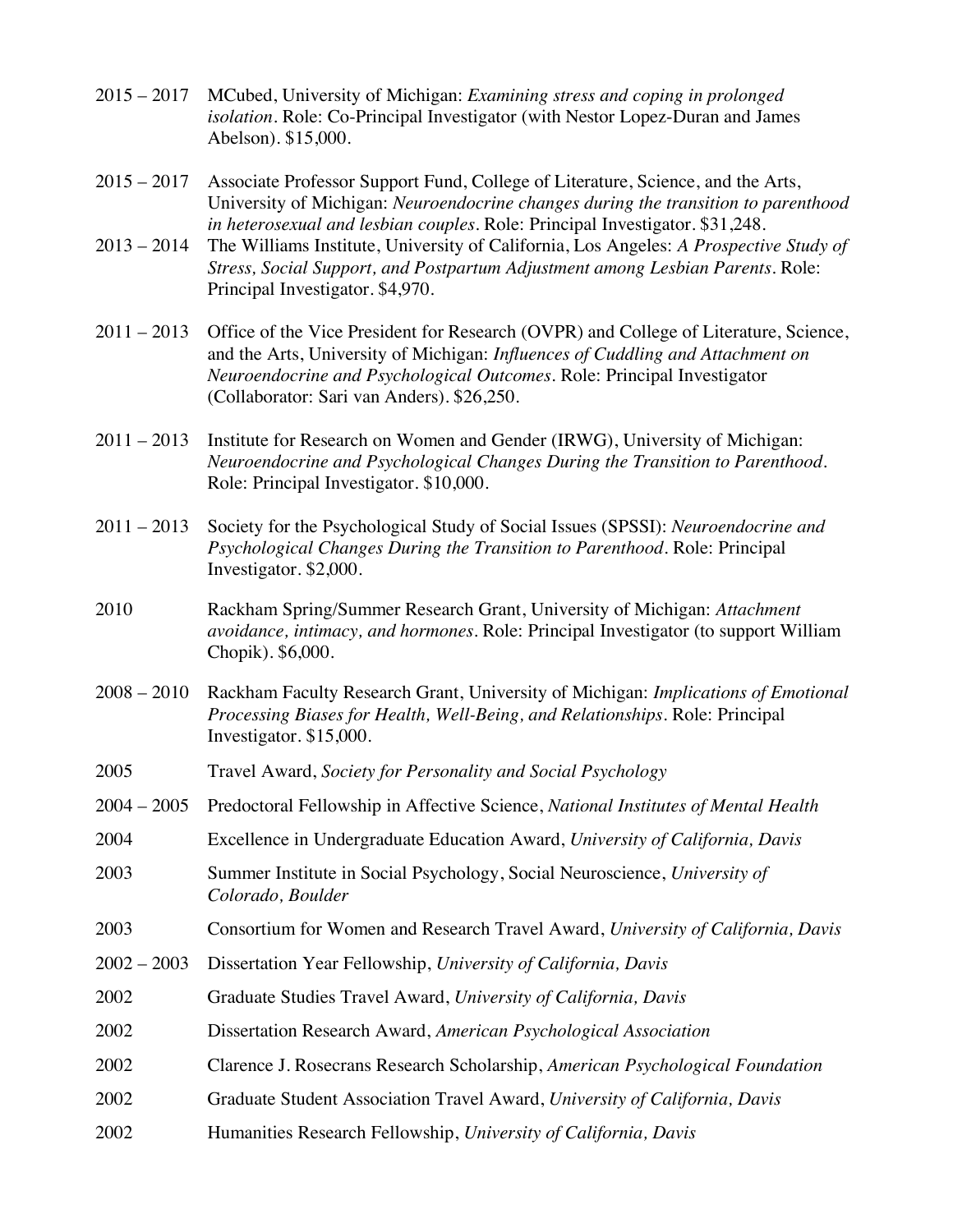- 2015 2017 MCubed, University of Michigan: *Examining stress and coping in prolonged isolation.* Role: Co-Principal Investigator (with Nestor Lopez-Duran and James Abelson). \$15,000.
- 2015 2017 Associate Professor Support Fund, College of Literature, Science, and the Arts, University of Michigan: *Neuroendocrine changes during the transition to parenthood in heterosexual and lesbian couples*. Role: Principal Investigator. \$31,248.
- 2013 2014 The Williams Institute, University of California, Los Angeles: *A Prospective Study of Stress, Social Support, and Postpartum Adjustment among Lesbian Parents*. Role: Principal Investigator. \$4,970.
- 2011 2013 Office of the Vice President for Research (OVPR) and College of Literature, Science, and the Arts, University of Michigan: *Influences of Cuddling and Attachment on Neuroendocrine and Psychological Outcomes.* Role: Principal Investigator (Collaborator: Sari van Anders). \$26,250.
- 2011 2013 Institute for Research on Women and Gender (IRWG), University of Michigan: *Neuroendocrine and Psychological Changes During the Transition to Parenthood.*  Role: Principal Investigator. \$10,000.
- 2011 2013 Society for the Psychological Study of Social Issues (SPSSI): *Neuroendocrine and Psychological Changes During the Transition to Parenthood.* Role: Principal Investigator. \$2,000.
- 2010 Rackham Spring/Summer Research Grant, University of Michigan: *Attachment avoidance, intimacy, and hormones*. Role: Principal Investigator (to support William Chopik). \$6,000.
- 2008 2010 Rackham Faculty Research Grant, University of Michigan: *Implications of Emotional Processing Biases for Health, Well-Being, and Relationships.* Role: Principal Investigator. \$15,000.
- 2005 Travel Award, *Society for Personality and Social Psychology*
- 2004 2005 Predoctoral Fellowship in Affective Science, *National Institutes of Mental Health*
- 2004 Excellence in Undergraduate Education Award, *University of California, Davis*
- 2003 Summer Institute in Social Psychology, Social Neuroscience, *University of Colorado, Boulder*
- 2003 Consortium for Women and Research Travel Award, *University of California, Davis*
- 2002 2003 Dissertation Year Fellowship, *University of California, Davis*
- 2002 Graduate Studies Travel Award, *University of California, Davis*
- 2002 Dissertation Research Award, *American Psychological Association*
- 2002 Clarence J. Rosecrans Research Scholarship, *American Psychological Foundation*
- 2002 Graduate Student Association Travel Award, *University of California, Davis*
- 2002 Humanities Research Fellowship, *University of California, Davis*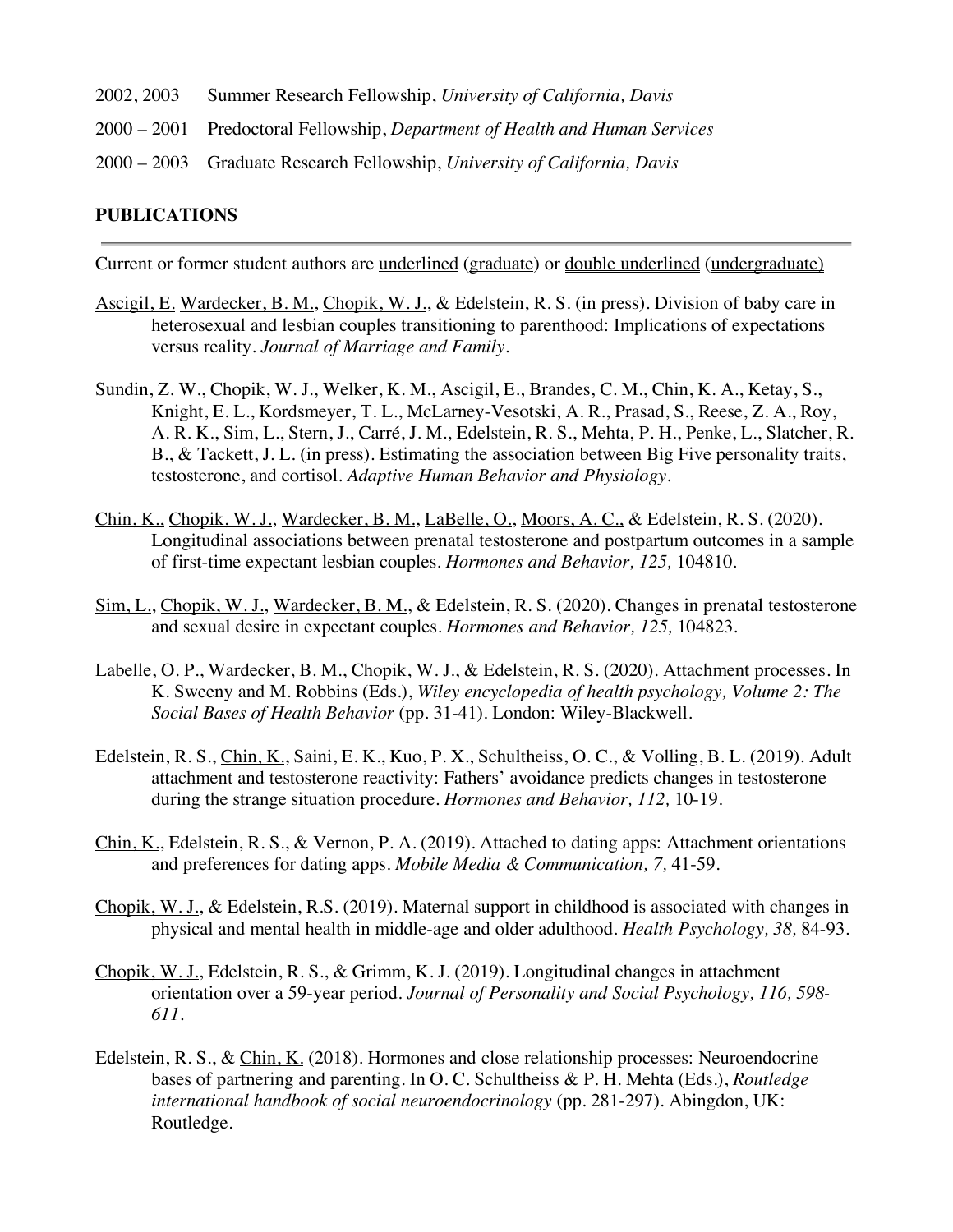- 2002, 2003 Summer Research Fellowship, *University of California, Davis*
- 2000 2001 Predoctoral Fellowship, *Department of Health and Human Services*
- 2000 2003 Graduate Research Fellowship, *University of California, Davis*

#### **PUBLICATIONS**

Current or former student authors are underlined (graduate) or double underlined (undergraduate)

- Ascigil, E. Wardecker, B. M., Chopik, W. J., & Edelstein, R. S. (in press). Division of baby care in heterosexual and lesbian couples transitioning to parenthood: Implications of expectations versus reality. *Journal of Marriage and Family.*
- Sundin, Z. W., Chopik, W. J., Welker, K. M., Ascigil, E., Brandes, C. M., Chin, K. A., Ketay, S., Knight, E. L., Kordsmeyer, T. L., McLarney-Vesotski, A. R., Prasad, S., Reese, Z. A., Roy, A. R. K., Sim, L., Stern, J., Carré, J. M., Edelstein, R. S., Mehta, P. H., Penke, L., Slatcher, R. B., & Tackett, J. L. (in press). Estimating the association between Big Five personality traits, testosterone, and cortisol. *Adaptive Human Behavior and Physiology*.
- Chin, K., Chopik, W. J., Wardecker, B. M., LaBelle, O., Moors, A. C., & Edelstein, R. S. (2020). Longitudinal associations between prenatal testosterone and postpartum outcomes in a sample of first-time expectant lesbian couples. *Hormones and Behavior, 125,* 104810*.*
- Sim, L., Chopik, W. J., Wardecker, B. M., & Edelstein, R. S. (2020). Changes in prenatal testosterone and sexual desire in expectant couples. *Hormones and Behavior, 125,* 104823*.*
- Labelle, O. P., Wardecker, B. M., Chopik, W. J., & Edelstein, R. S. (2020). Attachment processes. In K. Sweeny and M. Robbins (Eds.), *Wiley encyclopedia of health psychology, Volume 2: The Social Bases of Health Behavior* (pp. 31-41). London: Wiley-Blackwell.
- Edelstein, R. S., Chin, K., Saini, E. K., Kuo, P. X., Schultheiss, O. C., & Volling, B. L. (2019). Adult attachment and testosterone reactivity: Fathers' avoidance predicts changes in testosterone during the strange situation procedure. *Hormones and Behavior, 112,* 10-19.
- Chin, K., Edelstein, R. S., & Vernon, P. A. (2019). Attached to dating apps: Attachment orientations and preferences for dating apps. *Mobile Media & Communication, 7,* 41-59.
- Chopik, W. J., & Edelstein, R.S. (2019). Maternal support in childhood is associated with changes in physical and mental health in middle-age and older adulthood. *Health Psychology, 38,* 84-93.
- Chopik, W. J., Edelstein, R. S., & Grimm, K. J. (2019). Longitudinal changes in attachment orientation over a 59-year period. *Journal of Personality and Social Psychology, 116, 598- 611.*
- Edelstein, R. S., & Chin, K. (2018). Hormones and close relationship processes: Neuroendocrine bases of partnering and parenting. In O. C. Schultheiss & P. H. Mehta (Eds.), *Routledge international handbook of social neuroendocrinology* (pp. 281-297)*.* Abingdon, UK: Routledge*.*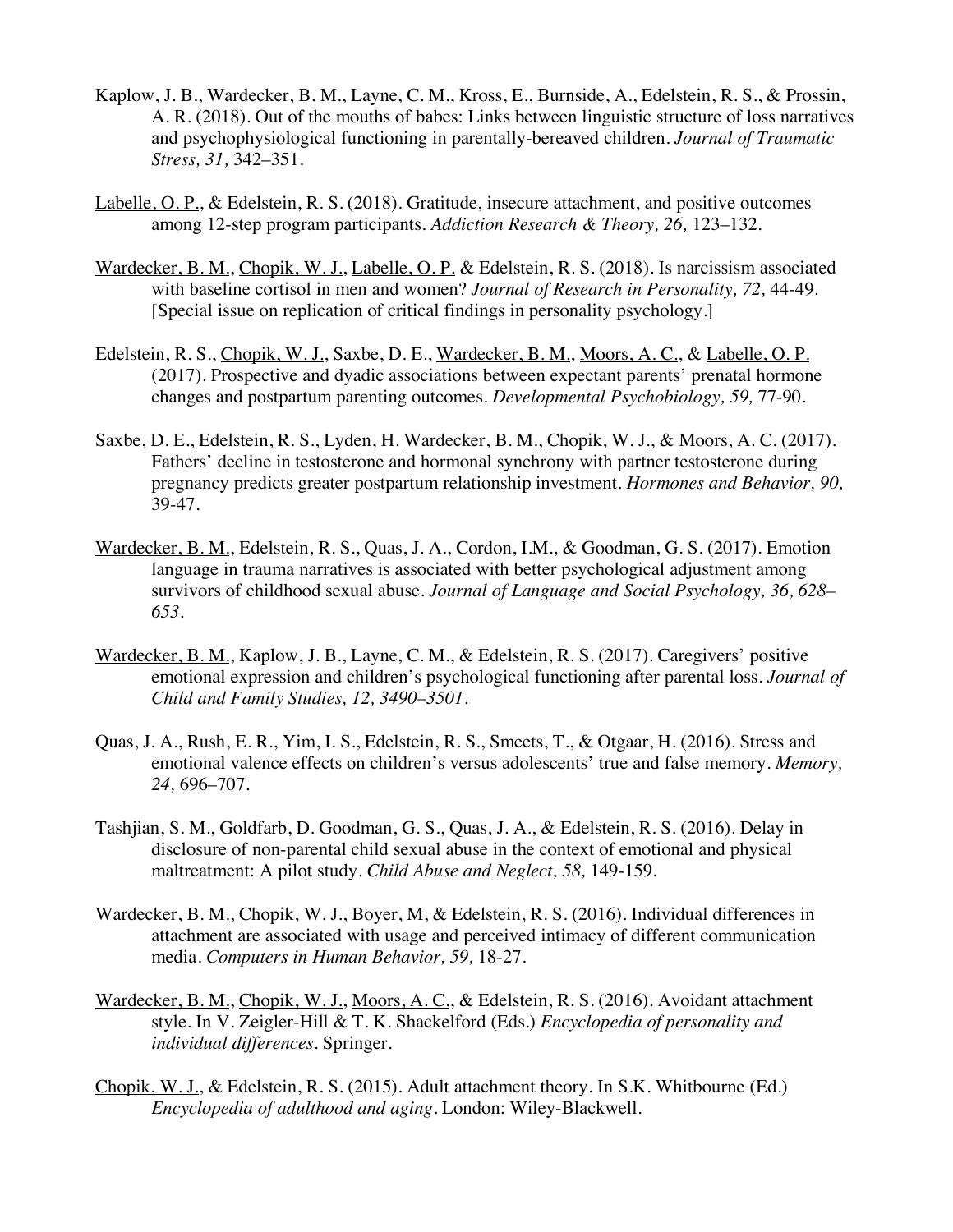- Kaplow, J. B., Wardecker, B. M., Layne, C. M., Kross, E., Burnside, A., Edelstein, R. S., & Prossin, A. R. (2018). Out of the mouths of babes: Links between linguistic structure of loss narratives and psychophysiological functioning in parentally-bereaved children. *Journal of Traumatic Stress, 31,* 342–351*.*
- Labelle, O. P., & Edelstein, R. S. (2018). Gratitude, insecure attachment, and positive outcomes among 12-step program participants. *Addiction Research & Theory, 26,* 123–132*.*
- Wardecker, B. M., Chopik, W. J., Labelle, O. P. & Edelstein, R. S. (2018). Is narcissism associated with baseline cortisol in men and women? *Journal of Research in Personality, 72,* 44-49*.* [Special issue on replication of critical findings in personality psychology.]
- Edelstein, R. S., Chopik, W. J., Saxbe, D. E., Wardecker, B. M., Moors, A. C., & Labelle, O. P. (2017). Prospective and dyadic associations between expectant parents' prenatal hormone changes and postpartum parenting outcomes. *Developmental Psychobiology, 59,* 77-90*.*
- Saxbe, D. E., Edelstein, R. S., Lyden, H. Wardecker, B. M., Chopik, W. J., & Moors, A. C. (2017). Fathers' decline in testosterone and hormonal synchrony with partner testosterone during pregnancy predicts greater postpartum relationship investment. *Hormones and Behavior, 90,*  39-47*.*
- Wardecker, B. M., Edelstein, R. S., Quas, J. A., Cordon, I.M., & Goodman, G. S. (2017). Emotion language in trauma narratives is associated with better psychological adjustment among survivors of childhood sexual abuse. *Journal of Language and Social Psychology, 36, 628– 653.*
- Wardecker, B. M., Kaplow, J. B., Layne, C. M., & Edelstein, R. S. (2017). Caregivers' positive emotional expression and children's psychological functioning after parental loss. *Journal of Child and Family Studies, 12, 3490–3501*.
- Quas, J. A., Rush, E. R., Yim, I. S., Edelstein, R. S., Smeets, T., & Otgaar, H. (2016). Stress and emotional valence effects on children's versus adolescents' true and false memory. *Memory, 24,* 696–707.
- Tashjian, S. M., Goldfarb, D. Goodman, G. S., Quas, J. A., & Edelstein, R. S. (2016). Delay in disclosure of non-parental child sexual abuse in the context of emotional and physical maltreatment: A pilot study. *Child Abuse and Neglect, 58,* 149-159*.*
- Wardecker, B. M., Chopik, W. J., Boyer, M, & Edelstein, R. S. (2016). Individual differences in attachment are associated with usage and perceived intimacy of different communication media. *Computers in Human Behavior, 59,* 18-27.
- Wardecker, B. M., Chopik, W. J., Moors, A. C., & Edelstein, R. S. (2016). Avoidant attachment style. In V. Zeigler-Hill & T. K. Shackelford (Eds.) *Encyclopedia of personality and individual differences*. Springer.
- Chopik, W. J., & Edelstein, R. S. (2015). Adult attachment theory. In S.K. Whitbourne (Ed.) *Encyclopedia of adulthood and aging*. London: Wiley-Blackwell.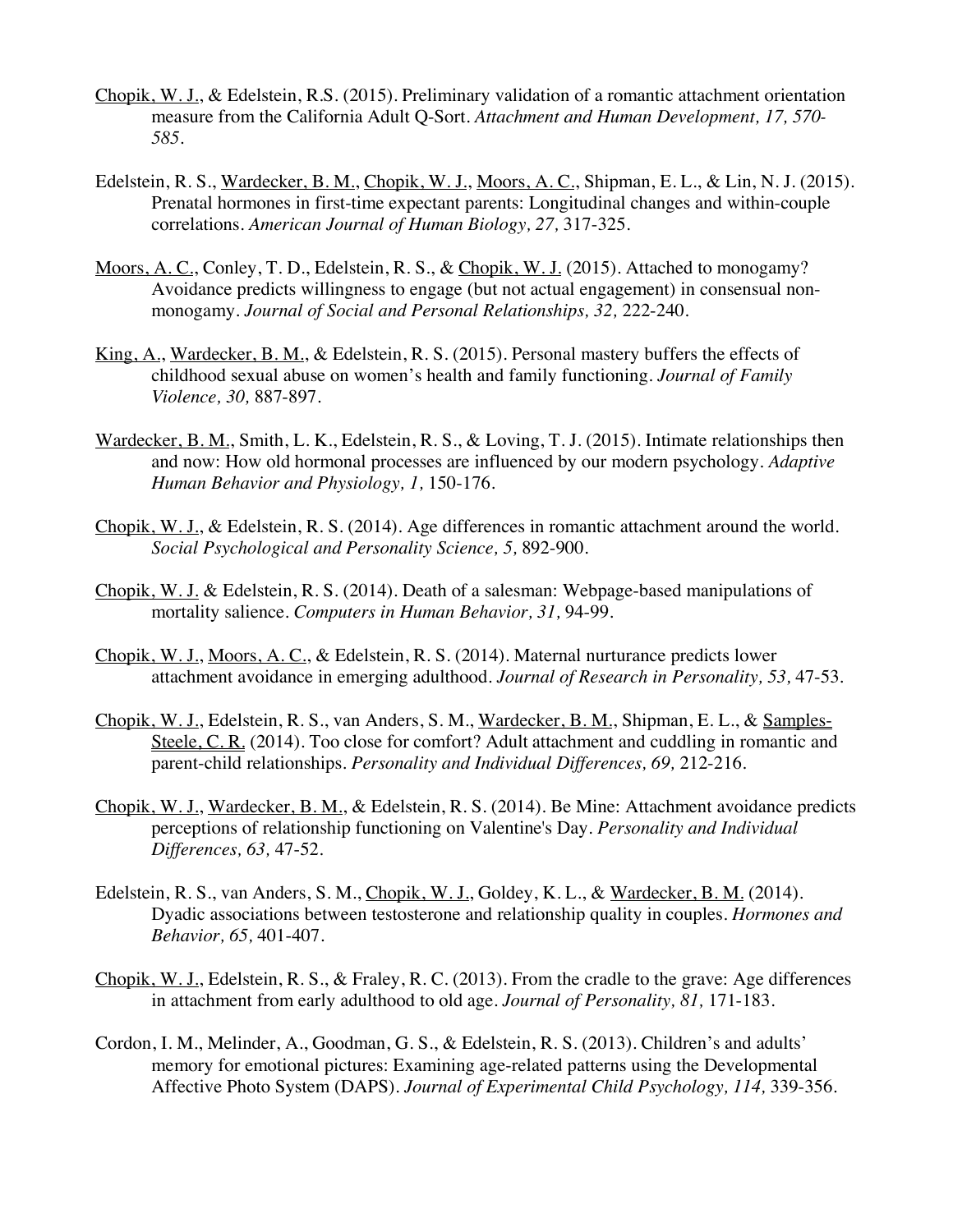- Chopik, W. J., & Edelstein, R.S. (2015). Preliminary validation of a romantic attachment orientation measure from the California Adult Q-Sort. *Attachment and Human Development, 17, 570- 585.*
- Edelstein, R. S., Wardecker, B. M., Chopik, W. J., Moors, A. C., Shipman, E. L., & Lin, N. J. (2015). Prenatal hormones in first-time expectant parents: Longitudinal changes and within-couple correlations. *American Journal of Human Biology, 27,* 317-325.
- Moors, A. C., Conley, T. D., Edelstein, R. S., & Chopik, W. J. (2015). Attached to monogamy? Avoidance predicts willingness to engage (but not actual engagement) in consensual nonmonogamy. *Journal of Social and Personal Relationships, 32,* 222-240*.*
- King, A., Wardecker, B. M., & Edelstein, R. S. (2015). Personal mastery buffers the effects of childhood sexual abuse on women's health and family functioning. *Journal of Family Violence, 30,* 887-897*.*
- Wardecker, B. M., Smith, L. K., Edelstein, R. S., & Loving, T. J. (2015). Intimate relationships then and now: How old hormonal processes are influenced by our modern psychology. *Adaptive Human Behavior and Physiology, 1,* 150-176.
- Chopik, W. J., & Edelstein, R. S. (2014). Age differences in romantic attachment around the world*. Social Psychological and Personality Science, 5,* 892-900*.*
- Chopik, W. J. & Edelstein, R. S. (2014). Death of a salesman: Webpage-based manipulations of mortality salience. *Computers in Human Behavior, 31,* 94-99*.*
- Chopik, W. J., Moors, A. C., & Edelstein, R. S. (2014). Maternal nurturance predicts lower attachment avoidance in emerging adulthood. *Journal of Research in Personality, 53,* 47-53*.*
- Chopik, W. J., Edelstein, R. S., van Anders, S. M., Wardecker, B. M., Shipman, E. L., & Samples-Steele, C. R. (2014). Too close for comfort? Adult attachment and cuddling in romantic and parent-child relationships. *Personality and Individual Differences, 69,* 212-216*.*
- Chopik, W. J., Wardecker, B. M., & Edelstein, R. S. (2014). Be Mine: Attachment avoidance predicts perceptions of relationship functioning on Valentine's Day. *Personality and Individual Differences, 63,* 47-52.
- Edelstein, R. S., van Anders, S. M., Chopik, W. J., Goldey, K. L., & Wardecker, B. M. (2014). Dyadic associations between testosterone and relationship quality in couples. *Hormones and Behavior, 65,* 401-407.
- Chopik, W. J., Edelstein, R. S., & Fraley, R. C. (2013). From the cradle to the grave: Age differences in attachment from early adulthood to old age. *Journal of Personality, 81,* 171-183*.*
- Cordon, I. M., Melinder, A., Goodman, G. S., & Edelstein, R. S. (2013). Children's and adults' memory for emotional pictures: Examining age-related patterns using the Developmental Affective Photo System (DAPS). *Journal of Experimental Child Psychology, 114,* 339-356.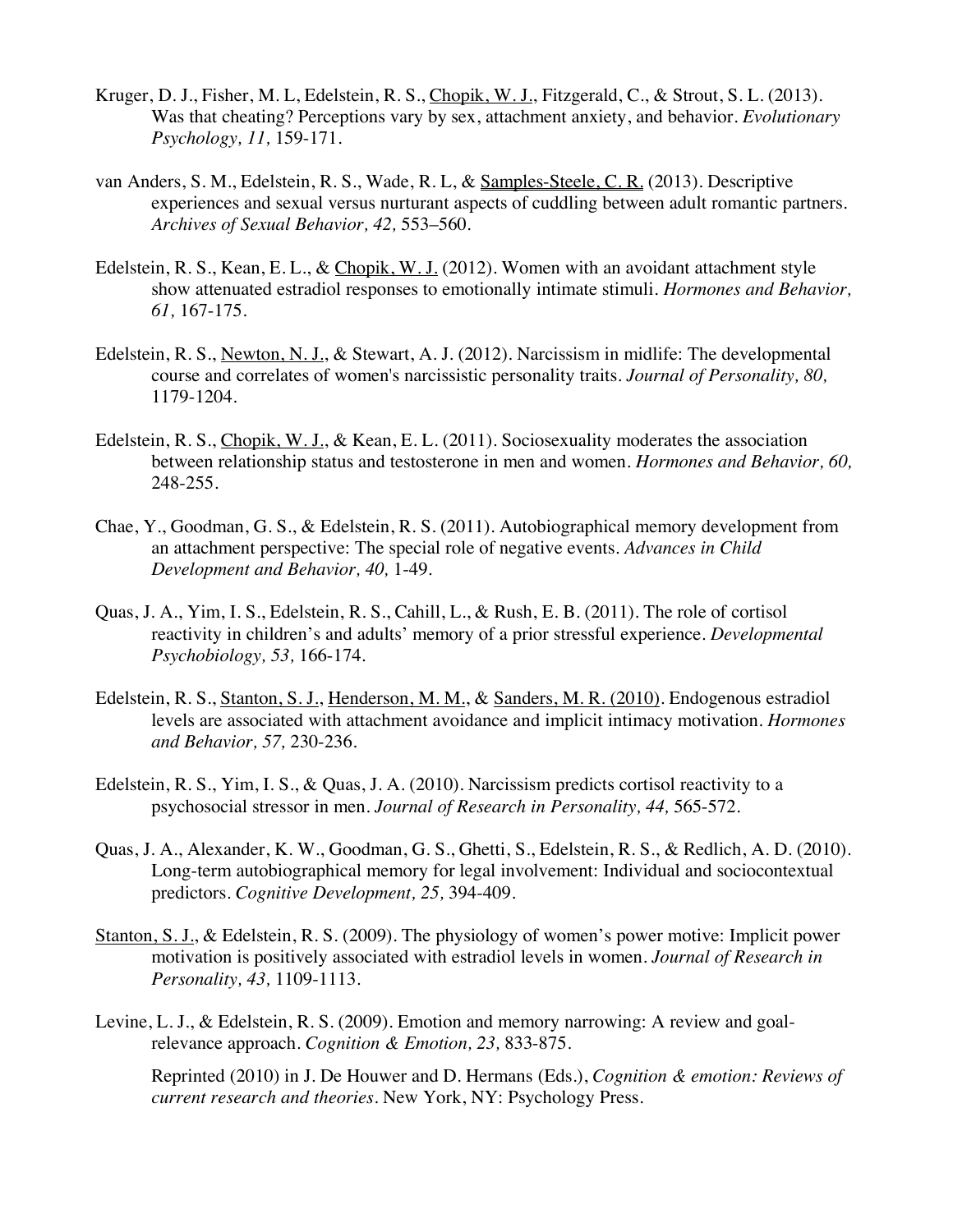- Kruger, D. J., Fisher, M. L, Edelstein, R. S., Chopik, W. J., Fitzgerald, C., & Strout, S. L. (2013). Was that cheating? Perceptions vary by sex, attachment anxiety, and behavior. *Evolutionary Psychology, 11,* 159-171.
- van Anders, S. M., Edelstein, R. S., Wade, R. L, & Samples-Steele, C. R. (2013). Descriptive experiences and sexual versus nurturant aspects of cuddling between adult romantic partners. *Archives of Sexual Behavior, 42,* 553–560*.*
- Edelstein, R. S., Kean, E. L., & Chopik, W. J. (2012). Women with an avoidant attachment style show attenuated estradiol responses to emotionally intimate stimuli*. Hormones and Behavior, 61,* 167-175.
- Edelstein, R. S., Newton, N. J., & Stewart, A. J. (2012). Narcissism in midlife: The developmental course and correlates of women's narcissistic personality traits. *Journal of Personality, 80,*  1179-1204*.*
- Edelstein, R. S., Chopik, W. J., & Kean, E. L. (2011). Sociosexuality moderates the association between relationship status and testosterone in men and women*. Hormones and Behavior, 60,*  248-255*.*
- Chae, Y., Goodman, G. S., & Edelstein, R. S. (2011). Autobiographical memory development from an attachment perspective: The special role of negative events. *Advances in Child Development and Behavior, 40,* 1-49*.*
- Quas, J. A., Yim, I. S., Edelstein, R. S., Cahill, L., & Rush, E. B. (2011). The role of cortisol reactivity in children's and adults' memory of a prior stressful experience. *Developmental Psychobiology, 53,* 166-174*.*
- Edelstein, R. S., Stanton, S. J., Henderson, M. M., & Sanders, M. R. (2010). Endogenous estradiol levels are associated with attachment avoidance and implicit intimacy motivation. *Hormones and Behavior, 57,* 230-236*.*
- Edelstein, R. S., Yim, I. S., & Quas, J. A. (2010). Narcissism predicts cortisol reactivity to a psychosocial stressor in men. *Journal of Research in Personality, 44,* 565-572*.*
- Quas, J. A., Alexander, K. W., Goodman, G. S., Ghetti, S., Edelstein, R. S., & Redlich, A. D. (2010). Long-term autobiographical memory for legal involvement: Individual and sociocontextual predictors. *Cognitive Development, 25,* 394-409.
- Stanton, S. J., & Edelstein, R. S. (2009). The physiology of women's power motive: Implicit power motivation is positively associated with estradiol levels in women. *Journal of Research in Personality, 43,* 1109-1113*.*
- Levine, L. J., & Edelstein, R. S. (2009). Emotion and memory narrowing: A review and goalrelevance approach. *Cognition & Emotion, 23,* 833-875*.*

Reprinted (2010) in J. De Houwer and D. Hermans (Eds.), *Cognition & emotion: Reviews of current research and theories*. New York, NY: Psychology Press.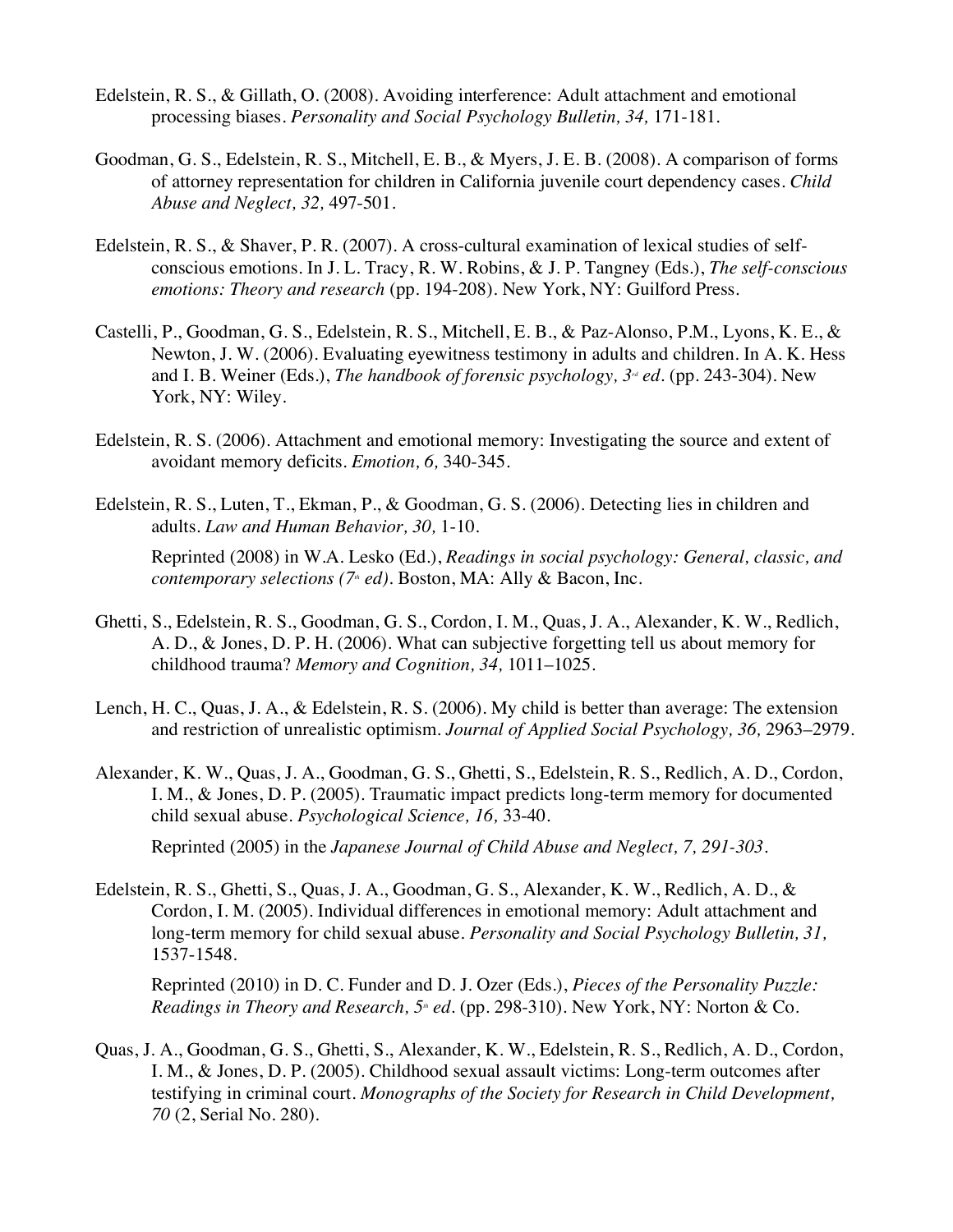- Edelstein, R. S., & Gillath, O. (2008). Avoiding interference: Adult attachment and emotional processing biases. *Personality and Social Psychology Bulletin, 34,* 171-181*.*
- Goodman, G. S., Edelstein, R. S., Mitchell, E. B., & Myers, J. E. B. (2008). A comparison of forms of attorney representation for children in California juvenile court dependency cases. *Child Abuse and Neglect, 32,* 497-501*.*
- Edelstein, R. S., & Shaver, P. R. (2007). A cross-cultural examination of lexical studies of selfconscious emotions. In J. L. Tracy, R. W. Robins, & J. P. Tangney (Eds.), *The self-conscious emotions: Theory and research* (pp. 194-208)*.* New York, NY: Guilford Press.
- Castelli, P., Goodman, G. S., Edelstein, R. S., Mitchell, E. B., & Paz-Alonso, P.M., Lyons, K. E., & Newton, J. W. (2006). Evaluating eyewitness testimony in adults and children. In A. K. Hess and I. B. Weiner (Eds.), *The handbook of forensic psychology*,  $3^{\prime\prime}$  *ed*. (pp. 243-304). New York, NY: Wiley.
- Edelstein, R. S. (2006). Attachment and emotional memory: Investigating the source and extent of avoidant memory deficits. *Emotion, 6,* 340-345.
- Edelstein, R. S., Luten, T., Ekman, P., & Goodman, G. S. (2006). Detecting lies in children and adults. *Law and Human Behavior, 30,* 1-10*.*

Reprinted (2008) in W.A. Lesko (Ed.), *Readings in social psychology: General, classic, and contemporary selections (7<sup>th</sup> ed)*. Boston, MA: Ally & Bacon, Inc.

- Ghetti, S., Edelstein, R. S., Goodman, G. S., Cordon, I. M., Quas, J. A., Alexander, K. W., Redlich, A. D., & Jones, D. P. H. (2006). What can subjective forgetting tell us about memory for childhood trauma? *Memory and Cognition, 34,* 1011–1025.
- Lench, H. C., Quas, J. A., & Edelstein, R. S. (2006). My child is better than average: The extension and restriction of unrealistic optimism. *Journal of Applied Social Psychology, 36,* 2963–2979.
- Alexander, K. W., Quas, J. A., Goodman, G. S., Ghetti, S., Edelstein, R. S., Redlich, A. D., Cordon, I. M., & Jones, D. P. (2005). Traumatic impact predicts long-term memory for documented child sexual abuse. *Psychological Science, 16,* 33-40*.*

Reprinted (2005) in the *Japanese Journal of Child Abuse and Neglect, 7, 291-303.*

Edelstein, R. S., Ghetti, S., Quas, J. A., Goodman, G. S., Alexander, K. W., Redlich, A. D., & Cordon, I. M. (2005). Individual differences in emotional memory: Adult attachment and long-term memory for child sexual abuse*. Personality and Social Psychology Bulletin, 31,*  1537-1548*.*

Reprinted (2010) in D. C. Funder and D. J. Ozer (Eds.), *Pieces of the Personality Puzzle: Readings in Theory and Research, 5<sup>th</sup> ed.* (pp. 298-310). New York, NY: Norton & Co.

Quas, J. A., Goodman, G. S., Ghetti, S., Alexander, K. W., Edelstein, R. S., Redlich, A. D., Cordon, I. M., & Jones, D. P. (2005). Childhood sexual assault victims: Long-term outcomes after testifying in criminal court. *Monographs of the Society for Research in Child Development, 70* (2, Serial No. 280).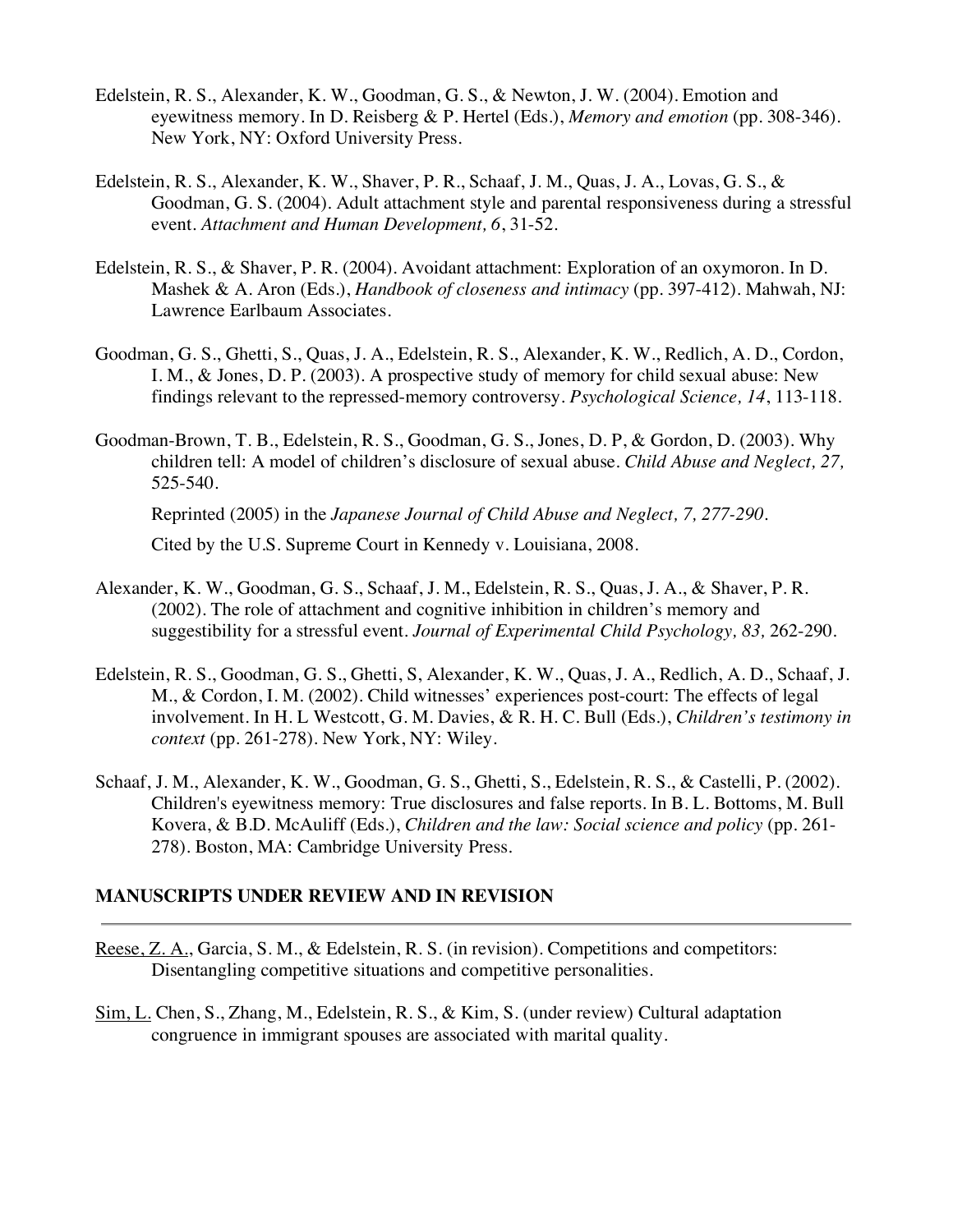- Edelstein, R. S., Alexander, K. W., Goodman, G. S., & Newton, J. W. (2004). Emotion and eyewitness memory. In D. Reisberg & P. Hertel (Eds.), *Memory and emotion* (pp. 308-346). New York, NY: Oxford University Press.
- Edelstein, R. S., Alexander, K. W., Shaver, P. R., Schaaf, J. M., Quas, J. A., Lovas, G. S., & Goodman, G. S. (2004). Adult attachment style and parental responsiveness during a stressful event. *Attachment and Human Development, 6*, 31-52*.*
- Edelstein, R. S., & Shaver, P. R. (2004). Avoidant attachment: Exploration of an oxymoron. In D. Mashek & A. Aron (Eds.), *Handbook of closeness and intimacy* (pp. 397-412). Mahwah, NJ: Lawrence Earlbaum Associates.
- Goodman, G. S., Ghetti, S., Quas, J. A., Edelstein, R. S., Alexander, K. W., Redlich, A. D., Cordon, I. M., & Jones, D. P. (2003). A prospective study of memory for child sexual abuse: New findings relevant to the repressed-memory controversy. *Psychological Science, 14*, 113-118.
- Goodman-Brown, T. B., Edelstein, R. S., Goodman, G. S., Jones, D. P, & Gordon, D. (2003). Why children tell: A model of children's disclosure of sexual abuse. *Child Abuse and Neglect, 27,*  525-540.

Reprinted (2005) in the *Japanese Journal of Child Abuse and Neglect, 7, 277-290.*

Cited by the U.S. Supreme Court in Kennedy v. Louisiana, 2008.

- Alexander, K. W., Goodman, G. S., Schaaf, J. M., Edelstein, R. S., Quas, J. A., & Shaver, P. R. (2002). The role of attachment and cognitive inhibition in children's memory and suggestibility for a stressful event. *Journal of Experimental Child Psychology, 83,* 262-290.
- Edelstein, R. S., Goodman, G. S., Ghetti, S, Alexander, K. W., Quas, J. A., Redlich, A. D., Schaaf, J. M., & Cordon, I. M. (2002). Child witnesses' experiences post-court: The effects of legal involvement. In H. L Westcott, G. M. Davies, & R. H. C. Bull (Eds.), *Children's testimony in context* (pp. 261-278). New York, NY: Wiley.
- Schaaf, J. M., Alexander, K. W., Goodman, G. S., Ghetti, S., Edelstein, R. S., & Castelli, P. (2002). Children's eyewitness memory: True disclosures and false reports. In B. L. Bottoms, M. Bull Kovera, & B.D. McAuliff (Eds.), *Children and the law: Social science and policy* (pp. 261- 278). Boston, MA: Cambridge University Press.

#### **MANUSCRIPTS UNDER REVIEW AND IN REVISION**

- Reese, Z. A., Garcia, S. M., & Edelstein, R. S. (in revision). Competitions and competitors: Disentangling competitive situations and competitive personalities.
- Sim, L. Chen, S., Zhang, M., Edelstein, R. S., & Kim, S. (under review) Cultural adaptation congruence in immigrant spouses are associated with marital quality.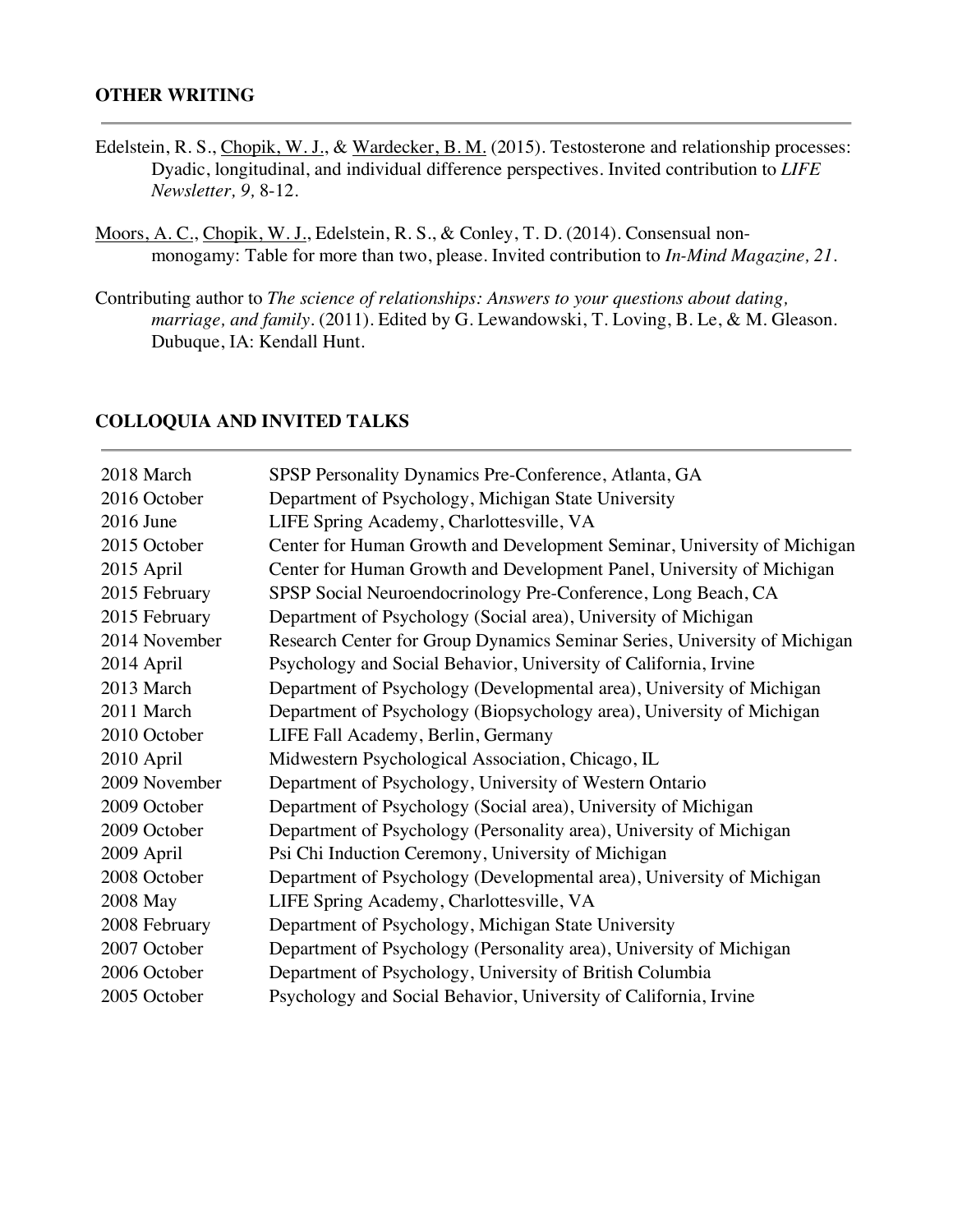#### **OTHER WRITING**

- Edelstein, R. S., Chopik, W. J., & Wardecker, B. M. (2015). Testosterone and relationship processes: Dyadic, longitudinal, and individual difference perspectives. Invited contribution to *LIFE Newsletter, 9,* 8-12.
- Moors, A. C., Chopik, W. J., Edelstein, R. S., & Conley, T. D. (2014). Consensual nonmonogamy: Table for more than two, please. Invited contribution to *In-Mind Magazine, 21*.
- Contributing author to *The science of relationships: Answers to your questions about dating, marriage, and family.* (2011). Edited by G. Lewandowski, T. Loving, B. Le, & M. Gleason. Dubuque, IA: Kendall Hunt.

#### **COLLOQUIA AND INVITED TALKS**

| 2018 March    | SPSP Personality Dynamics Pre-Conference, Atlanta, GA                     |
|---------------|---------------------------------------------------------------------------|
| 2016 October  | Department of Psychology, Michigan State University                       |
| 2016 June     | LIFE Spring Academy, Charlottesville, VA                                  |
| 2015 October  | Center for Human Growth and Development Seminar, University of Michigan   |
| 2015 April    | Center for Human Growth and Development Panel, University of Michigan     |
| 2015 February | SPSP Social Neuroendocrinology Pre-Conference, Long Beach, CA             |
| 2015 February | Department of Psychology (Social area), University of Michigan            |
| 2014 November | Research Center for Group Dynamics Seminar Series, University of Michigan |
| 2014 April    | Psychology and Social Behavior, University of California, Irvine          |
| 2013 March    | Department of Psychology (Developmental area), University of Michigan     |
| 2011 March    | Department of Psychology (Biopsychology area), University of Michigan     |
| 2010 October  | LIFE Fall Academy, Berlin, Germany                                        |
| 2010 April    | Midwestern Psychological Association, Chicago, IL                         |
| 2009 November | Department of Psychology, University of Western Ontario                   |
| 2009 October  | Department of Psychology (Social area), University of Michigan            |
| 2009 October  | Department of Psychology (Personality area), University of Michigan       |
| 2009 April    | Psi Chi Induction Ceremony, University of Michigan                        |
| 2008 October  | Department of Psychology (Developmental area), University of Michigan     |
| 2008 May      | LIFE Spring Academy, Charlottesville, VA                                  |
| 2008 February | Department of Psychology, Michigan State University                       |
| 2007 October  | Department of Psychology (Personality area), University of Michigan       |
| 2006 October  | Department of Psychology, University of British Columbia                  |
| 2005 October  | Psychology and Social Behavior, University of California, Irvine          |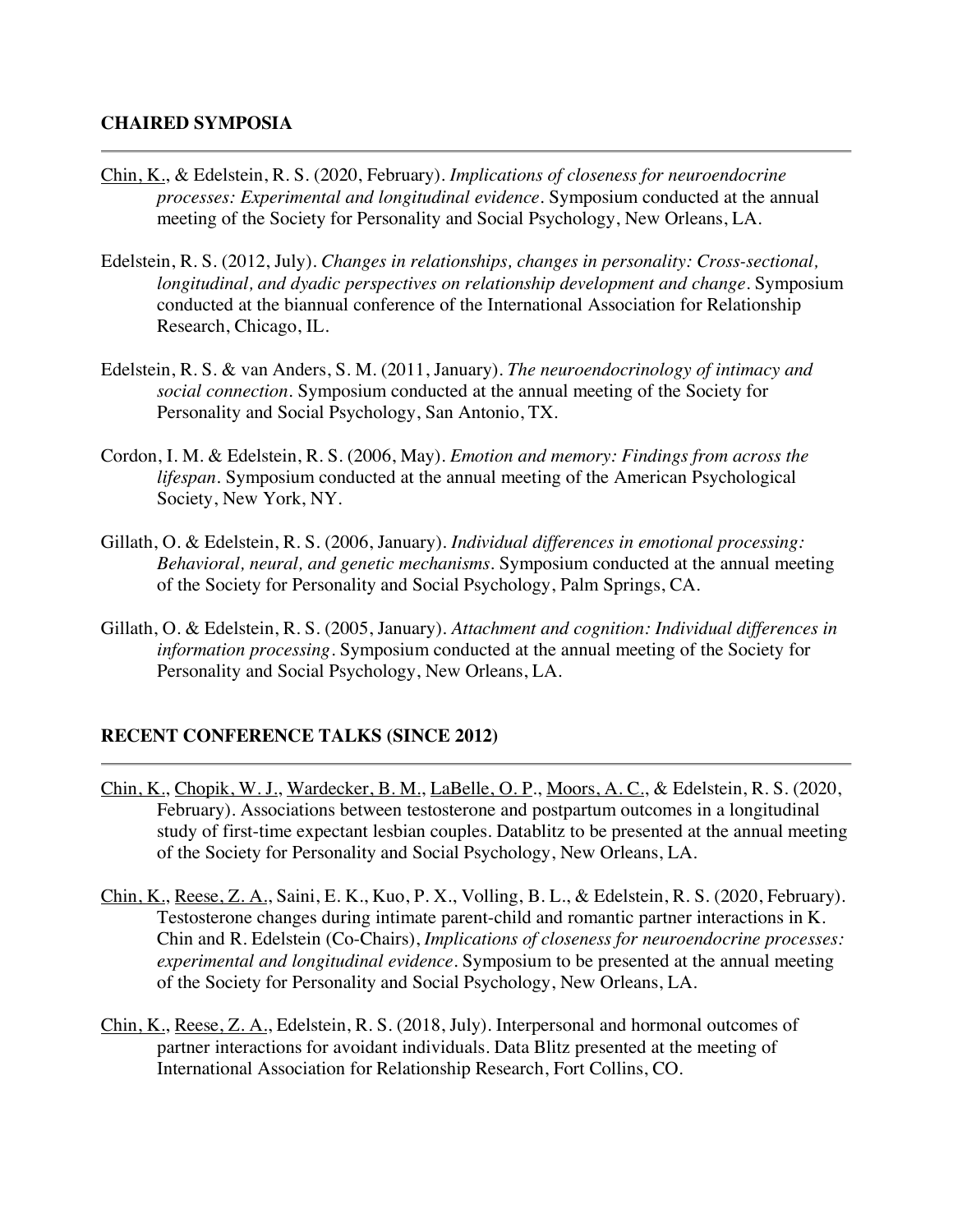- Chin, K., & Edelstein, R. S. (2020, February). *Implications of closeness for neuroendocrine processes: Experimental and longitudinal evidence.* Symposium conducted at the annual meeting of the Society for Personality and Social Psychology, New Orleans, LA.
- Edelstein, R. S. (2012, July). *Changes in relationships, changes in personality: Cross-sectional, longitudinal, and dyadic perspectives on relationship development and change*. Symposium conducted at the biannual conference of the International Association for Relationship Research, Chicago, IL.
- Edelstein, R. S. & van Anders, S. M. (2011, January). *The neuroendocrinology of intimacy and social connection.* Symposium conducted at the annual meeting of the Society for Personality and Social Psychology, San Antonio, TX.
- Cordon, I. M. & Edelstein, R. S. (2006, May). *Emotion and memory: Findings from across the lifespan.* Symposium conducted at the annual meeting of the American Psychological Society, New York, NY.
- Gillath, O. & Edelstein, R. S. (2006, January). *Individual differences in emotional processing: Behavioral, neural, and genetic mechanisms.* Symposium conducted at the annual meeting of the Society for Personality and Social Psychology, Palm Springs, CA.
- Gillath, O. & Edelstein, R. S. (2005, January). *Attachment and cognition: Individual differences in information processing*. Symposium conducted at the annual meeting of the Society for Personality and Social Psychology, New Orleans, LA.

### **RECENT CONFERENCE TALKS (SINCE 2012)**

- Chin, K., Chopik, W. J., Wardecker, B. M., LaBelle, O. P., Moors, A. C., & Edelstein, R. S. (2020, February). Associations between testosterone and postpartum outcomes in a longitudinal study of first-time expectant lesbian couples. Datablitz to be presented at the annual meeting of the Society for Personality and Social Psychology, New Orleans, LA.
- Chin, K., Reese, Z. A., Saini, E. K., Kuo, P. X., Volling, B. L., & Edelstein, R. S. (2020, February). Testosterone changes during intimate parent-child and romantic partner interactions in K. Chin and R. Edelstein (Co-Chairs), *Implications of closeness for neuroendocrine processes: experimental and longitudinal evidence*. Symposium to be presented at the annual meeting of the Society for Personality and Social Psychology, New Orleans, LA.
- Chin, K., Reese, Z. A., Edelstein, R. S. (2018, July). Interpersonal and hormonal outcomes of partner interactions for avoidant individuals. Data Blitz presented at the meeting of International Association for Relationship Research, Fort Collins, CO.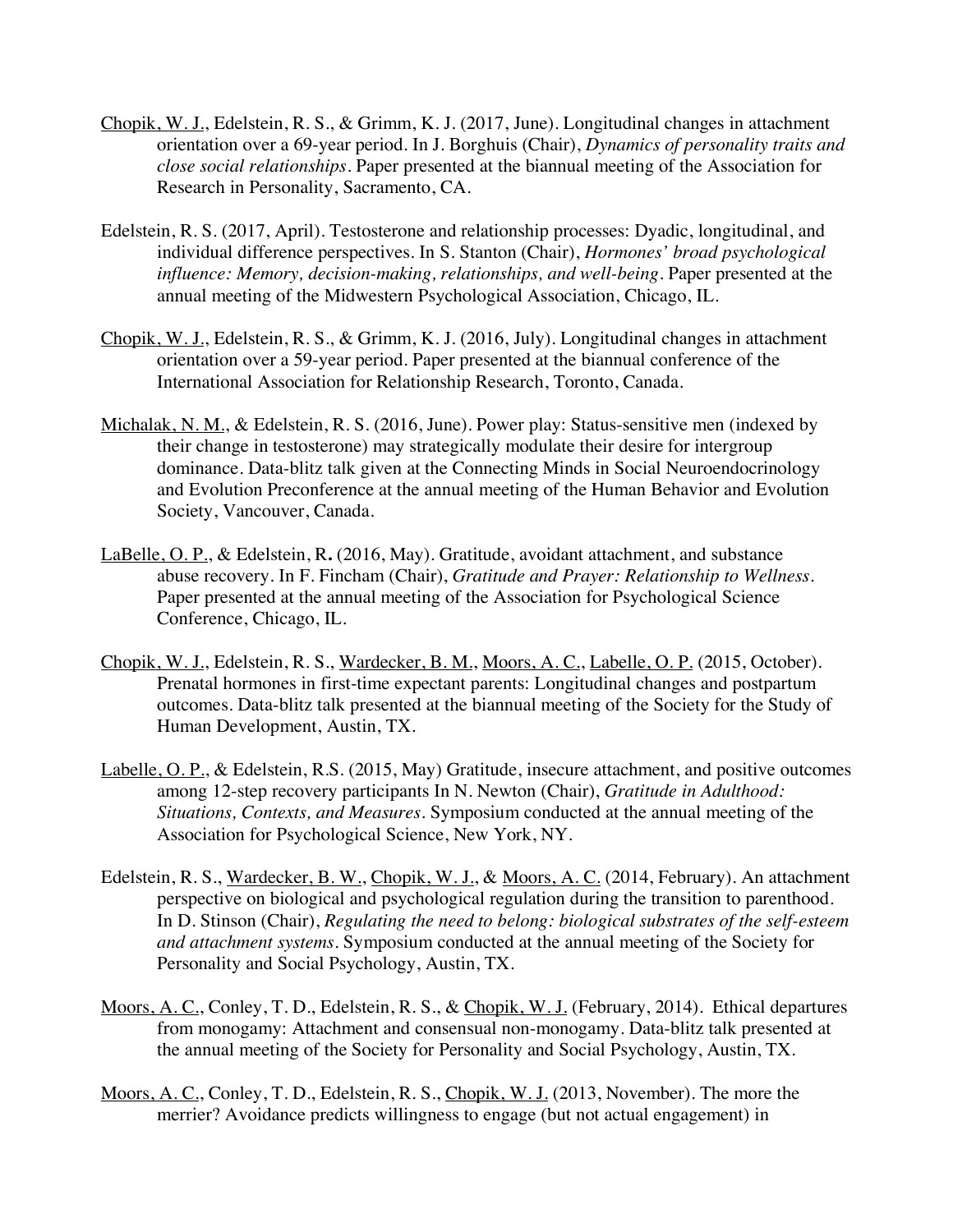- Chopik, W. J., Edelstein, R. S., & Grimm, K. J. (2017, June). Longitudinal changes in attachment orientation over a 69-year period. In J. Borghuis (Chair), *Dynamics of personality traits and close social relationships*. Paper presented at the biannual meeting of the Association for Research in Personality, Sacramento, CA.
- Edelstein, R. S. (2017, April). Testosterone and relationship processes: Dyadic, longitudinal, and individual difference perspectives. In S. Stanton (Chair), *Hormones' broad psychological*  influence: Memory, decision-making, relationships, and well-being. Paper presented at the annual meeting of the Midwestern Psychological Association, Chicago, IL.
- Chopik, W. J., Edelstein, R. S., & Grimm, K. J. (2016, July). Longitudinal changes in attachment orientation over a 59-year period. Paper presented at the biannual conference of the International Association for Relationship Research, Toronto, Canada.
- Michalak, N. M., & Edelstein, R. S. (2016, June). Power play: Status-sensitive men (indexed by their change in testosterone) may strategically modulate their desire for intergroup dominance. Data-blitz talk given at the Connecting Minds in Social Neuroendocrinology and Evolution Preconference at the annual meeting of the Human Behavior and Evolution Society, Vancouver, Canada.
- LaBelle, O. P., & Edelstein, R**.** (2016, May). Gratitude, avoidant attachment, and substance abuse recovery. In F. Fincham (Chair), *Gratitude and Prayer: Relationship to Wellness*. Paper presented at the annual meeting of the Association for Psychological Science Conference, Chicago, IL.
- Chopik, W. J., Edelstein, R. S., Wardecker, B. M., Moors, A. C., Labelle, O. P. (2015, October). Prenatal hormones in first-time expectant parents: Longitudinal changes and postpartum outcomes. Data-blitz talk presented at the biannual meeting of the Society for the Study of Human Development, Austin, TX.
- Labelle, O. P., & Edelstein, R.S. (2015, May) Gratitude, insecure attachment, and positive outcomes among 12-step recovery participants In N. Newton (Chair), *Gratitude in Adulthood: Situations, Contexts, and Measures.* Symposium conducted at the annual meeting of the Association for Psychological Science, New York, NY.
- Edelstein, R. S., Wardecker, B. W., Chopik, W. J., & Moors, A. C. (2014, February). An attachment perspective on biological and psychological regulation during the transition to parenthood. In D. Stinson (Chair), *Regulating the need to belong: biological substrates of the self-esteem and attachment systems*. Symposium conducted at the annual meeting of the Society for Personality and Social Psychology, Austin, TX.
- Moors, A. C., Conley, T. D., Edelstein, R. S., & Chopik, W. J. (February, 2014). Ethical departures from monogamy: Attachment and consensual non-monogamy. Data-blitz talk presented at the annual meeting of the Society for Personality and Social Psychology, Austin, TX.
- Moors, A. C., Conley, T. D., Edelstein, R. S., Chopik, W. J. (2013, November). The more the merrier? Avoidance predicts willingness to engage (but not actual engagement) in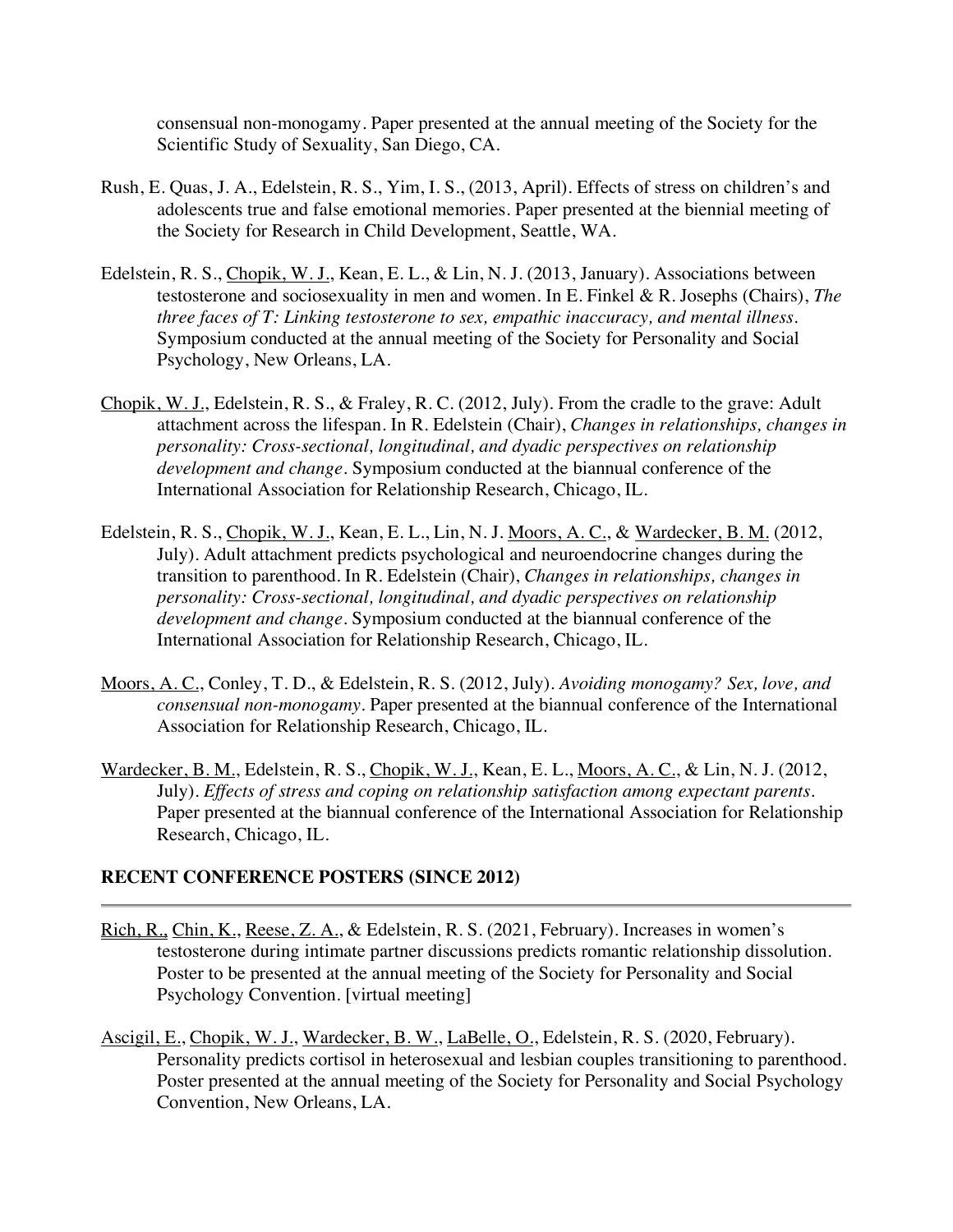consensual non-monogamy. Paper presented at the annual meeting of the Society for the Scientific Study of Sexuality, San Diego, CA.

- Rush, E. Quas, J. A., Edelstein, R. S., Yim, I. S., (2013, April). Effects of stress on children's and adolescents true and false emotional memories. Paper presented at the biennial meeting of the Society for Research in Child Development, Seattle, WA.
- Edelstein, R. S., Chopik, W. J., Kean, E. L., & Lin, N. J. (2013, January). Associations between testosterone and sociosexuality in men and women. In E. Finkel & R. Josephs (Chairs), *The three faces of T: Linking testosterone to sex, empathic inaccuracy, and mental illness.* Symposium conducted at the annual meeting of the Society for Personality and Social Psychology, New Orleans, LA.
- Chopik, W. J., Edelstein, R. S., & Fraley, R. C. (2012, July). From the cradle to the grave: Adult attachment across the lifespan. In R. Edelstein (Chair), *Changes in relationships, changes in personality: Cross-sectional, longitudinal, and dyadic perspectives on relationship development and change.* Symposium conducted at the biannual conference of the International Association for Relationship Research, Chicago, IL.
- Edelstein, R. S., Chopik, W. J., Kean, E. L., Lin, N. J. Moors, A. C., & Wardecker, B. M. (2012, July). Adult attachment predicts psychological and neuroendocrine changes during the transition to parenthood. In R. Edelstein (Chair), *Changes in relationships, changes in personality: Cross-sectional, longitudinal, and dyadic perspectives on relationship development and change*. Symposium conducted at the biannual conference of the International Association for Relationship Research, Chicago, IL.
- Moors, A. C., Conley, T. D., & Edelstein, R. S. (2012, July). *Avoiding monogamy? Sex, love, and consensual non-monogamy*. Paper presented at the biannual conference of the International Association for Relationship Research, Chicago, IL.
- Wardecker, B. M., Edelstein, R. S., Chopik, W. J., Kean, E. L., Moors, A. C., & Lin, N. J. (2012, July). *Effects of stress and coping on relationship satisfaction among expectant parents.*  Paper presented at the biannual conference of the International Association for Relationship Research, Chicago, IL.

#### **RECENT CONFERENCE POSTERS (SINCE 2012)**

- Rich, R., Chin, K., Reese, Z. A., & Edelstein, R. S. (2021, February). Increases in women's testosterone during intimate partner discussions predicts romantic relationship dissolution. Poster to be presented at the annual meeting of the Society for Personality and Social Psychology Convention. [virtual meeting]
- Ascigil, E., Chopik, W. J., Wardecker, B. W., LaBelle, O., Edelstein, R. S. (2020, February). Personality predicts cortisol in heterosexual and lesbian couples transitioning to parenthood. Poster presented at the annual meeting of the Society for Personality and Social Psychology Convention, New Orleans, LA.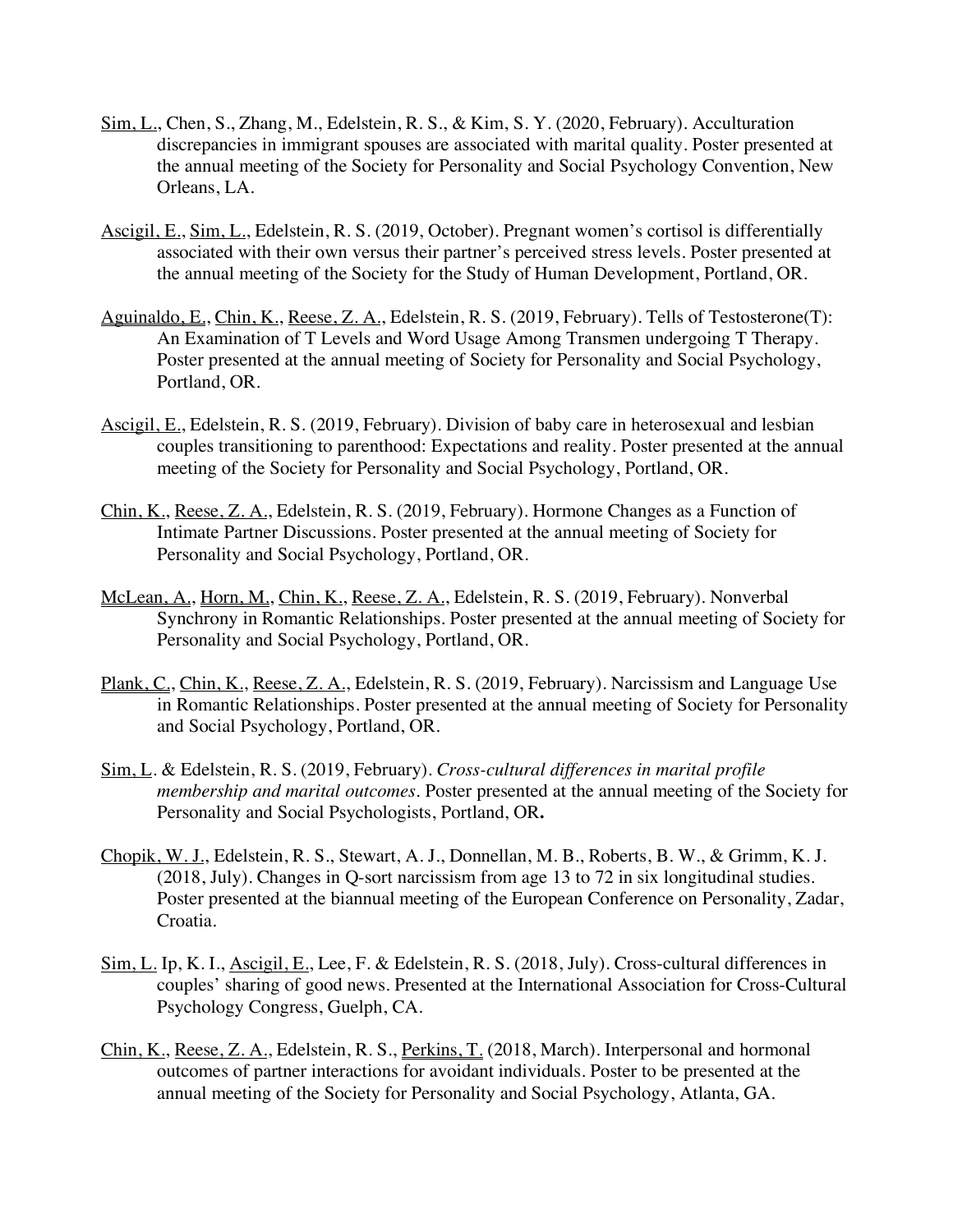- Sim, L., Chen, S., Zhang, M., Edelstein, R. S., & Kim, S. Y. (2020, February). Acculturation discrepancies in immigrant spouses are associated with marital quality. Poster presented at the annual meeting of the Society for Personality and Social Psychology Convention, New Orleans, LA.
- Ascigil, E., Sim, L., Edelstein, R. S. (2019, October). Pregnant women's cortisol is differentially associated with their own versus their partner's perceived stress levels. Poster presented at the annual meeting of the Society for the Study of Human Development, Portland, OR.
- Aguinaldo, E., Chin, K., Reese, Z. A., Edelstein, R. S. (2019, February). Tells of Testosterone(T): An Examination of T Levels and Word Usage Among Transmen undergoing T Therapy. Poster presented at the annual meeting of Society for Personality and Social Psychology, Portland, OR.
- Ascigil, E., Edelstein, R. S. (2019, February). Division of baby care in heterosexual and lesbian couples transitioning to parenthood: Expectations and reality. Poster presented at the annual meeting of the Society for Personality and Social Psychology, Portland, OR.
- Chin, K., Reese, Z. A., Edelstein, R. S. (2019, February). Hormone Changes as a Function of Intimate Partner Discussions. Poster presented at the annual meeting of Society for Personality and Social Psychology, Portland, OR.
- McLean, A., Horn, M., Chin, K., Reese, Z. A., Edelstein, R. S. (2019, February). Nonverbal Synchrony in Romantic Relationships. Poster presented at the annual meeting of Society for Personality and Social Psychology, Portland, OR.
- Plank, C., Chin, K., Reese, Z. A., Edelstein, R. S. (2019, February). Narcissism and Language Use in Romantic Relationships. Poster presented at the annual meeting of Society for Personality and Social Psychology, Portland, OR.
- Sim, L. & Edelstein, R. S. (2019, February). *Cross-cultural differences in marital profile membership and marital outcomes.* Poster presented at the annual meeting of the Society for Personality and Social Psychologists, Portland, OR**.**
- Chopik, W. J., Edelstein, R. S., Stewart, A. J., Donnellan, M. B., Roberts, B. W., & Grimm, K. J. (2018, July). Changes in Q-sort narcissism from age 13 to 72 in six longitudinal studies. Poster presented at the biannual meeting of the European Conference on Personality, Zadar, Croatia.
- Sim, L. Ip, K. I., Ascigil, E., Lee, F. & Edelstein, R. S. (2018, July). Cross-cultural differences in couples' sharing of good news. Presented at the International Association for Cross-Cultural Psychology Congress, Guelph, CA.
- Chin, K., Reese, Z. A., Edelstein, R. S., Perkins, T. (2018, March). Interpersonal and hormonal outcomes of partner interactions for avoidant individuals. Poster to be presented at the annual meeting of the Society for Personality and Social Psychology, Atlanta, GA.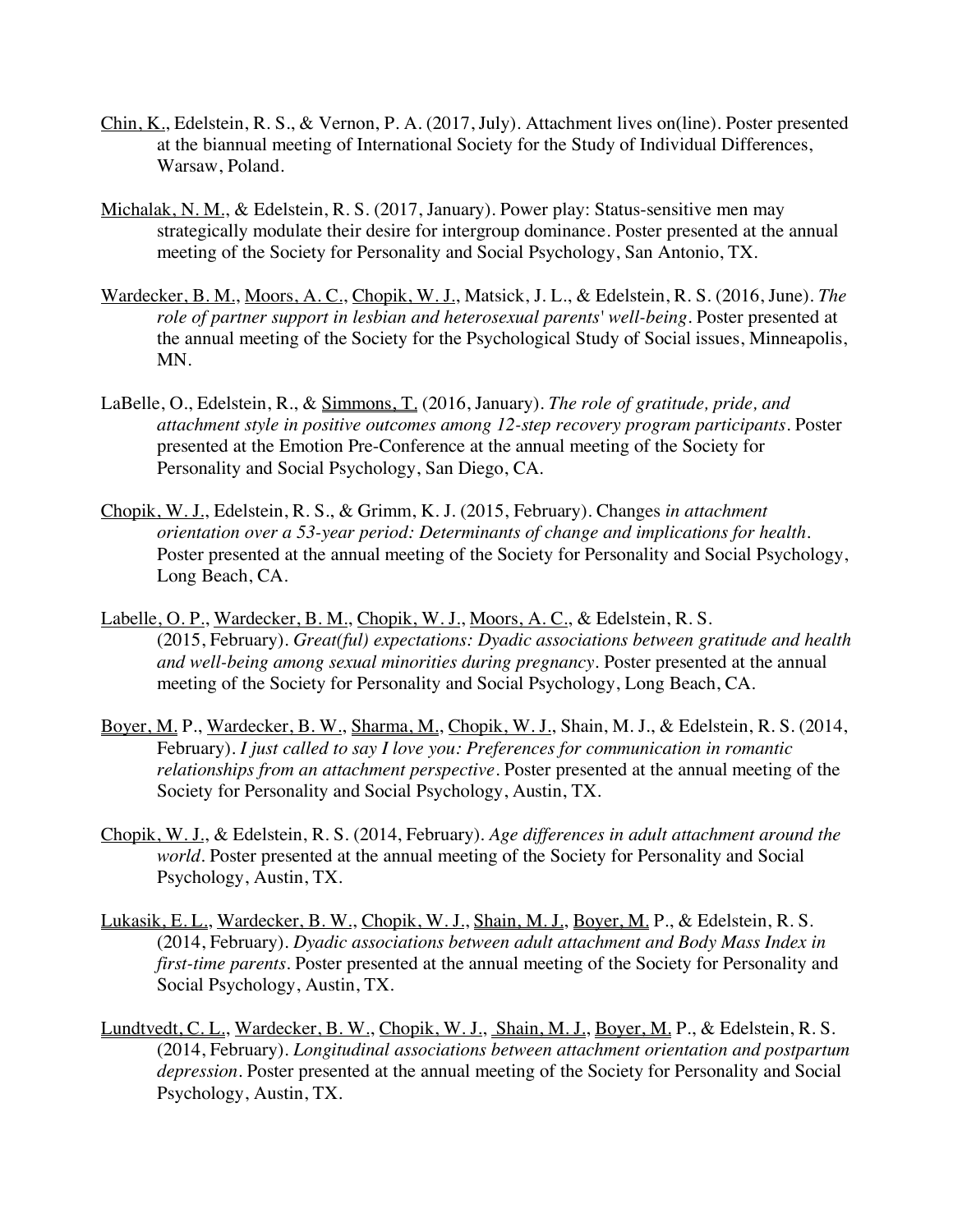- Chin, K., Edelstein, R. S., & Vernon, P. A. (2017, July). Attachment lives on(line). Poster presented at the biannual meeting of International Society for the Study of Individual Differences, Warsaw, Poland.
- Michalak, N. M., & Edelstein, R. S. (2017, January). Power play: Status-sensitive men may strategically modulate their desire for intergroup dominance. Poster presented at the annual meeting of the Society for Personality and Social Psychology, San Antonio, TX.
- Wardecker, B. M., Moors, A. C., Chopik, W. J., Matsick, J. L., & Edelstein, R. S. (2016, June). *The role of partner support in lesbian and heterosexual parents' well-being*. Poster presented at the annual meeting of the Society for the Psychological Study of Social issues, Minneapolis, MN.
- LaBelle, O., Edelstein, R., & Simmons, T. (2016, January). *The role of gratitude, pride, and attachment style in positive outcomes among 12-step recovery program participants*. Poster presented at the Emotion Pre-Conference at the annual meeting of the Society for Personality and Social Psychology, San Diego, CA.
- Chopik, W. J., Edelstein, R. S., & Grimm, K. J. (2015, February). Changes *in attachment orientation over a 53-year period: Determinants of change and implications for health.* Poster presented at the annual meeting of the Society for Personality and Social Psychology, Long Beach, CA.
- Labelle, O. P., Wardecker, B. M., Chopik, W. J., Moors, A. C., & Edelstein, R. S. (2015, February). *Great(ful) expectations: Dyadic associations between gratitude and health and well-being among sexual minorities during pregnancy.* Poster presented at the annual meeting of the Society for Personality and Social Psychology, Long Beach, CA.
- Boyer, M. P., Wardecker, B. W., Sharma, M., Chopik, W. J., Shain, M. J., & Edelstein, R. S. (2014, February). *I just called to say I love you: Preferences for communication in romantic relationships from an attachment perspective*. Poster presented at the annual meeting of the Society for Personality and Social Psychology, Austin, TX.
- Chopik, W. J., & Edelstein, R. S. (2014, February). *Age differences in adult attachment around the world*. Poster presented at the annual meeting of the Society for Personality and Social Psychology, Austin, TX.
- Lukasik, E. L., Wardecker, B. W., Chopik, W. J., Shain, M. J., Boyer, M. P., & Edelstein, R. S. (2014, February). *Dyadic associations between adult attachment and Body Mass Index in first-time parents*. Poster presented at the annual meeting of the Society for Personality and Social Psychology, Austin, TX.
- Lundtvedt, C. L., Wardecker, B. W., Chopik, W. J., Shain, M. J., Boyer, M. P., & Edelstein, R. S. (2014, February). *Longitudinal associations between attachment orientation and postpartum depression*. Poster presented at the annual meeting of the Society for Personality and Social Psychology, Austin, TX.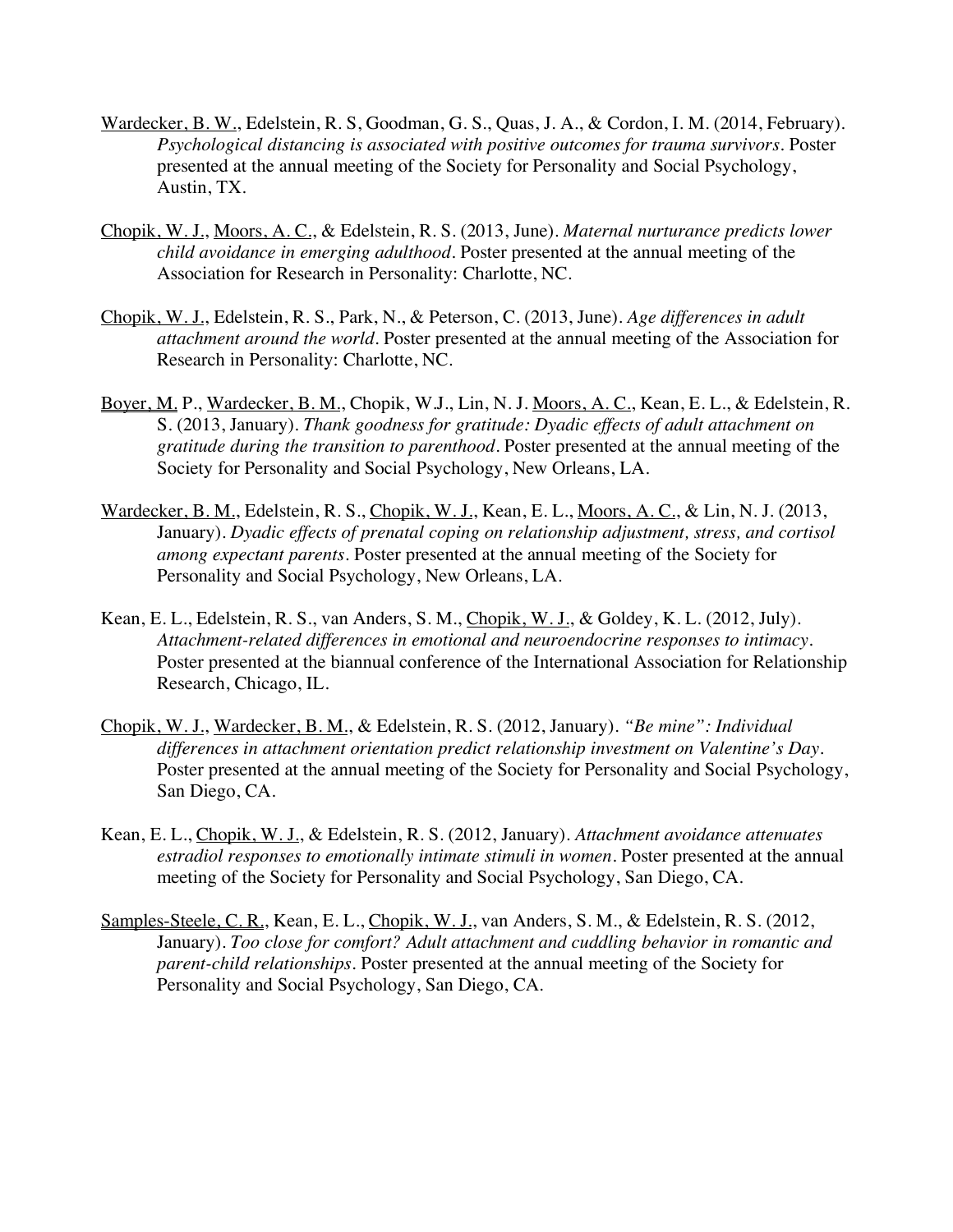- Wardecker, B. W., Edelstein, R. S, Goodman, G. S., Quas, J. A., & Cordon, I. M. (2014, February). *Psychological distancing is associated with positive outcomes for trauma survivors.* Poster presented at the annual meeting of the Society for Personality and Social Psychology, Austin, TX.
- Chopik, W. J., Moors, A. C., & Edelstein, R. S. (2013, June). *Maternal nurturance predicts lower child avoidance in emerging adulthood*. Poster presented at the annual meeting of the Association for Research in Personality: Charlotte, NC.
- Chopik, W. J., Edelstein, R. S., Park, N., & Peterson, C. (2013, June). *Age differences in adult attachment around the world*. Poster presented at the annual meeting of the Association for Research in Personality: Charlotte, NC.
- Boyer, M. P., Wardecker, B. M., Chopik, W.J., Lin, N. J. Moors, A. C., Kean, E. L., & Edelstein, R. S. (2013, January). *Thank goodness for gratitude: Dyadic effects of adult attachment on gratitude during the transition to parenthood.* Poster presented at the annual meeting of the Society for Personality and Social Psychology, New Orleans, LA.
- Wardecker, B. M., Edelstein, R. S., Chopik, W. J., Kean, E. L., Moors, A. C., & Lin, N. J. (2013, January). *Dyadic effects of prenatal coping on relationship adjustment, stress, and cortisol among expectant parents.* Poster presented at the annual meeting of the Society for Personality and Social Psychology, New Orleans, LA.
- Kean, E. L., Edelstein, R. S., van Anders, S. M., Chopik, W. J., & Goldey, K. L. (2012, July). *Attachment-related differences in emotional and neuroendocrine responses to intimacy*. Poster presented at the biannual conference of the International Association for Relationship Research, Chicago, IL.
- Chopik, W. J., Wardecker, B. M., & Edelstein, R. S. (2012, January). *"Be mine": Individual differences in attachment orientation predict relationship investment on Valentine's Day.*  Poster presented at the annual meeting of the Society for Personality and Social Psychology, San Diego, CA*.*
- Kean, E. L., Chopik, W. J., & Edelstein, R. S. (2012, January). *Attachment avoidance attenuates estradiol responses to emotionally intimate stimuli in women*. Poster presented at the annual meeting of the Society for Personality and Social Psychology, San Diego, CA*.*
- Samples-Steele, C. R., Kean, E. L., Chopik, W. J., van Anders, S. M., & Edelstein, R. S. (2012, January). *Too close for comfort? Adult attachment and cuddling behavior in romantic and parent-child relationships.* Poster presented at the annual meeting of the Society for Personality and Social Psychology, San Diego, CA*.*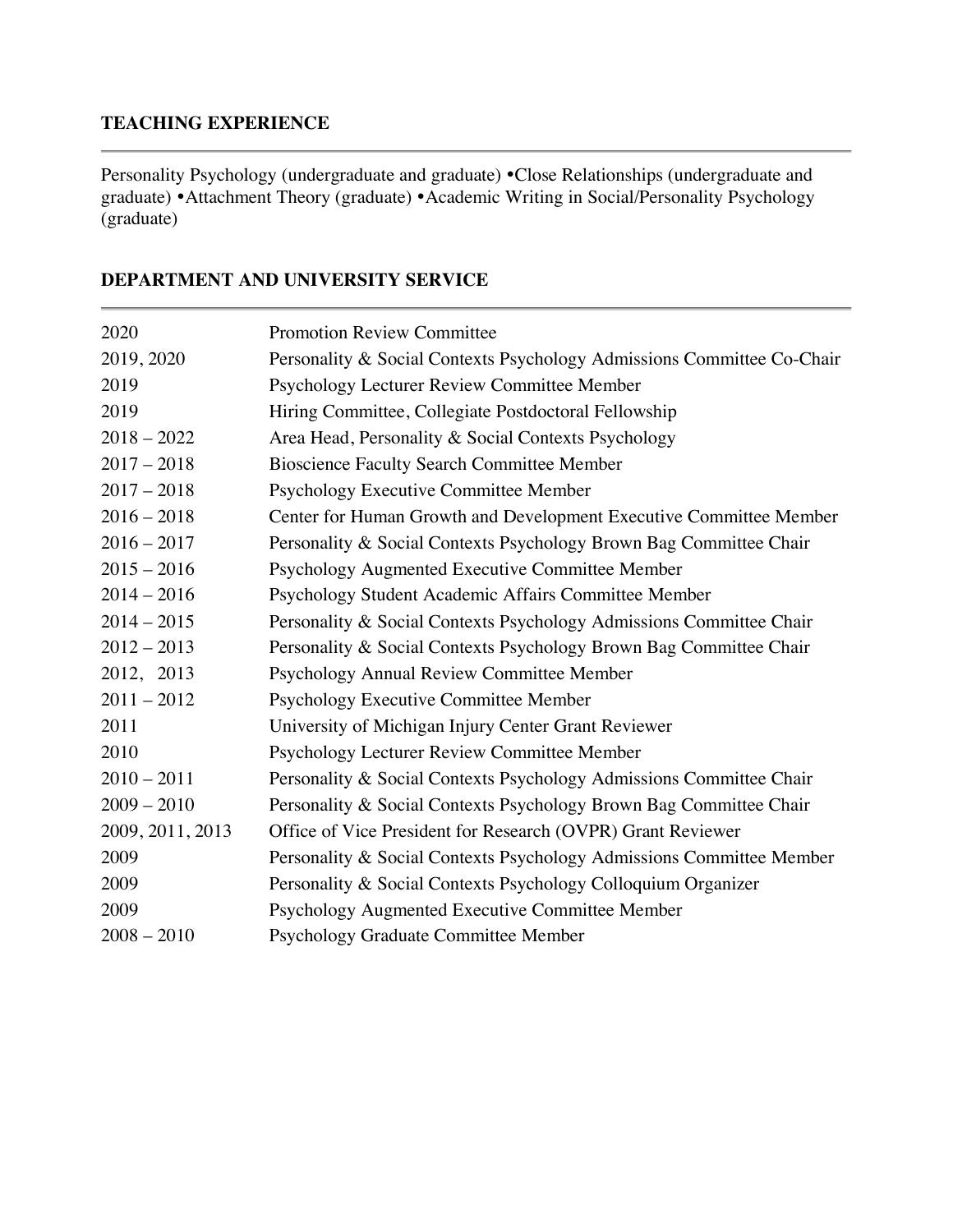### **TEACHING EXPERIENCE**

Personality Psychology (undergraduate and graduate) • Close Relationships (undergraduate and graduate) • Attachment Theory (graduate) • Academic Writing in Social/Personality Psychology (graduate)

| 2020             | <b>Promotion Review Committee</b>                                      |
|------------------|------------------------------------------------------------------------|
| 2019, 2020       | Personality & Social Contexts Psychology Admissions Committee Co-Chair |
| 2019             | Psychology Lecturer Review Committee Member                            |
| 2019             | Hiring Committee, Collegiate Postdoctoral Fellowship                   |
| $2018 - 2022$    | Area Head, Personality & Social Contexts Psychology                    |
| $2017 - 2018$    | <b>Bioscience Faculty Search Committee Member</b>                      |
| $2017 - 2018$    | Psychology Executive Committee Member                                  |
| $2016 - 2018$    | Center for Human Growth and Development Executive Committee Member     |
| $2016 - 2017$    | Personality & Social Contexts Psychology Brown Bag Committee Chair     |
| $2015 - 2016$    | Psychology Augmented Executive Committee Member                        |
| $2014 - 2016$    | Psychology Student Academic Affairs Committee Member                   |
| $2014 - 2015$    | Personality & Social Contexts Psychology Admissions Committee Chair    |
| $2012 - 2013$    | Personality & Social Contexts Psychology Brown Bag Committee Chair     |
| 2012, 2013       | Psychology Annual Review Committee Member                              |
| $2011 - 2012$    | Psychology Executive Committee Member                                  |
| 2011             | University of Michigan Injury Center Grant Reviewer                    |
| 2010             | Psychology Lecturer Review Committee Member                            |
| $2010 - 2011$    | Personality & Social Contexts Psychology Admissions Committee Chair    |
| $2009 - 2010$    | Personality & Social Contexts Psychology Brown Bag Committee Chair     |
| 2009, 2011, 2013 | Office of Vice President for Research (OVPR) Grant Reviewer            |
| 2009             | Personality & Social Contexts Psychology Admissions Committee Member   |
| 2009             | Personality & Social Contexts Psychology Colloquium Organizer          |
| 2009             | Psychology Augmented Executive Committee Member                        |
| $2008 - 2010$    | Psychology Graduate Committee Member                                   |

#### **DEPARTMENT AND UNIVERSITY SERVICE**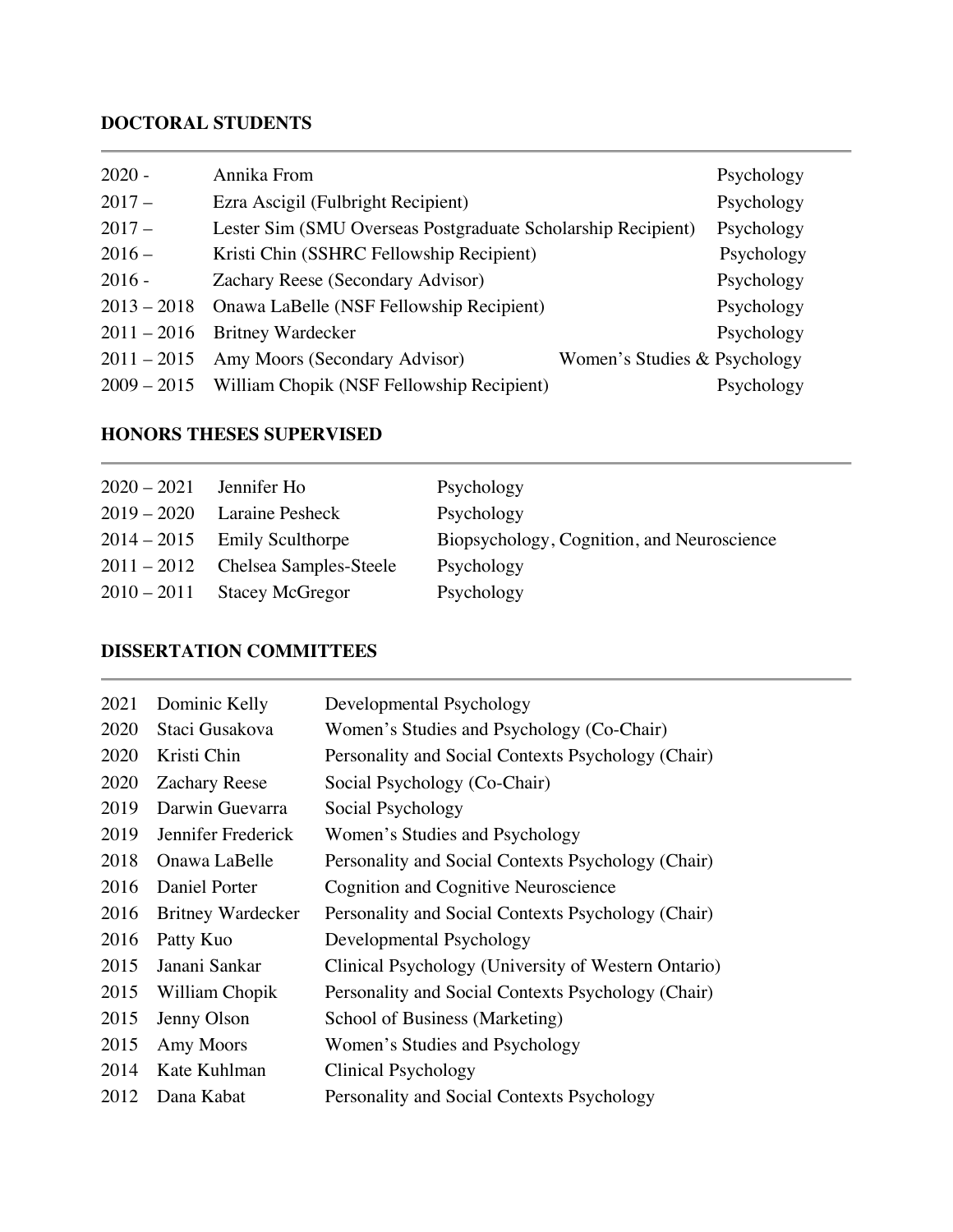## **DOCTORAL STUDENTS**

| $2020 -$      | Annika From                                                  |                              | Psychology |
|---------------|--------------------------------------------------------------|------------------------------|------------|
| $2017-$       | Ezra Ascigil (Fulbright Recipient)                           |                              | Psychology |
| $2017-$       | Lester Sim (SMU Overseas Postgraduate Scholarship Recipient) |                              | Psychology |
| $2016-$       | Kristi Chin (SSHRC Fellowship Recipient)                     |                              | Psychology |
| $2016 -$      | Zachary Reese (Secondary Advisor)                            |                              | Psychology |
| $2013 - 2018$ | Onawa LaBelle (NSF Fellowship Recipient)                     |                              | Psychology |
| $2011 - 2016$ | <b>Britney Wardecker</b>                                     |                              | Psychology |
| $2011 - 2015$ | Amy Moors (Secondary Advisor)                                | Women's Studies & Psychology |            |
|               | 2009 – 2015 William Chopik (NSF Fellowship Recipient)        |                              | Psychology |

### **HONORS THESES SUPERVISED**

| $2020 - 2021$ | Jennifer Ho                        | Psychology                                 |
|---------------|------------------------------------|--------------------------------------------|
|               | $2019 - 2020$ Laraine Pesheck      | Psychology                                 |
|               | $2014 - 2015$ Emily Sculthorpe     | Biopsychology, Cognition, and Neuroscience |
|               | 2011 – 2012 Chelsea Samples-Steele | Psychology                                 |
|               | $2010 - 2011$ Stacey McGregor      | Psychology                                 |

### **DISSERTATION COMMITTEES**

| 2021 | Dominic Kelly            | Developmental Psychology                            |
|------|--------------------------|-----------------------------------------------------|
| 2020 | Staci Gusakova           | Women's Studies and Psychology (Co-Chair)           |
| 2020 | Kristi Chin              | Personality and Social Contexts Psychology (Chair)  |
| 2020 | <b>Zachary Reese</b>     | Social Psychology (Co-Chair)                        |
| 2019 | Darwin Guevarra          | Social Psychology                                   |
| 2019 | Jennifer Frederick       | Women's Studies and Psychology                      |
| 2018 | Onawa LaBelle            | Personality and Social Contexts Psychology (Chair)  |
| 2016 | Daniel Porter            | <b>Cognition and Cognitive Neuroscience</b>         |
| 2016 | <b>Britney Wardecker</b> | Personality and Social Contexts Psychology (Chair)  |
| 2016 | Patty Kuo                | Developmental Psychology                            |
| 2015 | Janani Sankar            | Clinical Psychology (University of Western Ontario) |
| 2015 | William Chopik           | Personality and Social Contexts Psychology (Chair)  |
| 2015 | Jenny Olson              | School of Business (Marketing)                      |
| 2015 | Amy Moors                | Women's Studies and Psychology                      |
| 2014 | Kate Kuhlman             | Clinical Psychology                                 |
| 2012 | Dana Kabat               | Personality and Social Contexts Psychology          |